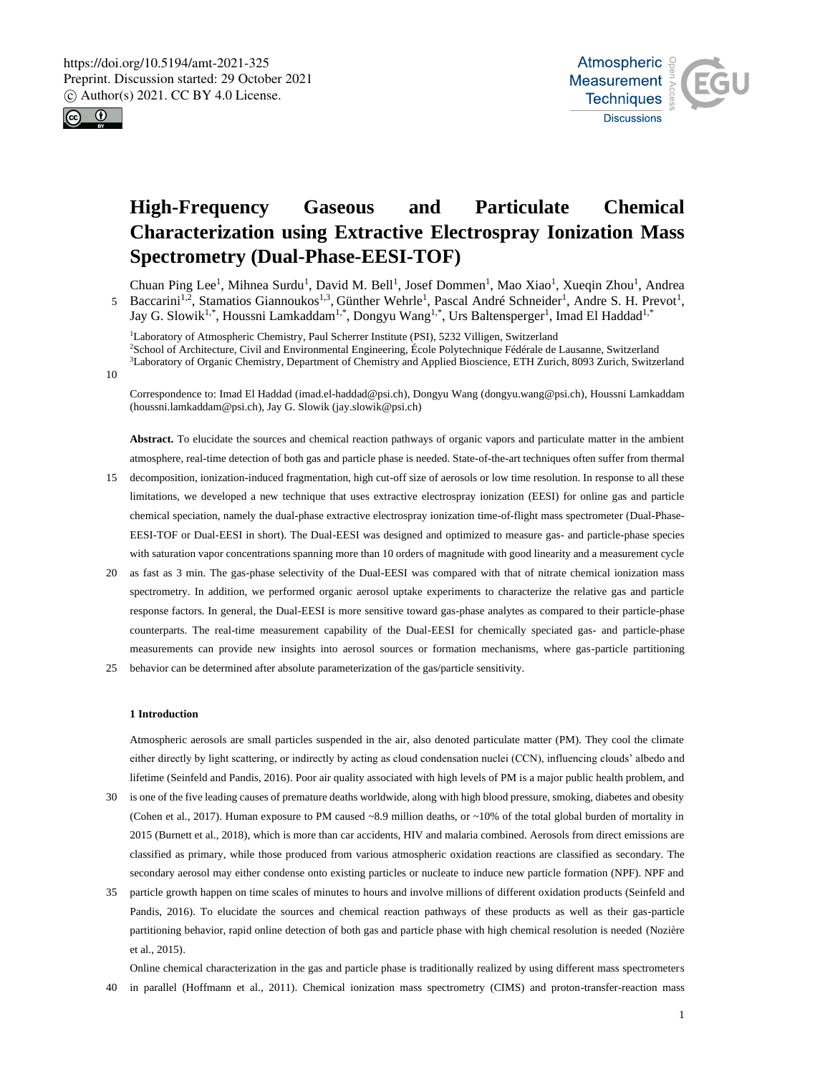



# **High-Frequency Gaseous and Particulate Chemical Characterization using Extractive Electrospray Ionization Mass Spectrometry (Dual-Phase-EESI-TOF)**

Chuan Ping Lee<sup>1</sup>, Mihnea Surdu<sup>1</sup>, David M. Bell<sup>1</sup>, Josef Dommen<sup>1</sup>, Mao Xiao<sup>1</sup>, Xueqin Zhou<sup>1</sup>, Andrea 5 Baccarini<sup>1,2</sup>, Stamatios Giannoukos<sup>1,3</sup>, Günther Wehrle<sup>1</sup>, Pascal André Schneider<sup>1</sup>, Andre S. H. Prevot<sup>1</sup>, Jay G. Slowik<sup>1,\*</sup>, Houssni Lamkaddam<sup>1,\*</sup>, Dongyu Wang<sup>1,\*</sup>, Urs Baltensperger<sup>1</sup>, Imad El Haddad<sup>1,\*</sup>

<sup>1</sup>Laboratory of Atmospheric Chemistry, Paul Scherrer Institute (PSI), 5232 Villigen, Switzerland <sup>2</sup>School of Architecture, Civil and Environmental Engineering, École Polytechnique Fédérale de Lausanne, Switzerland <sup>3</sup>Laboratory of Organic Chemistry, Department of Chemistry and Applied Bioscience, ETH Zurich, 8093 Zurich, Switzerland

10

Correspondence to: Imad El Haddad (imad.el-haddad@psi.ch), Dongyu Wang (dongyu.wang@psi.ch), Houssni Lamkaddam (houssni.lamkaddam@psi.ch), Jay G. Slowik (jay.slowik@psi.ch)

**Abstract.** To elucidate the sources and chemical reaction pathways of organic vapors and particulate matter in the ambient atmosphere, real-time detection of both gas and particle phase is needed. State-of-the-art techniques often suffer from thermal

- 15 decomposition, ionization-induced fragmentation, high cut-off size of aerosols or low time resolution. In response to all these limitations, we developed a new technique that uses extractive electrospray ionization (EESI) for online gas and particle chemical speciation, namely the dual-phase extractive electrospray ionization time-of-flight mass spectrometer (Dual-Phase-EESI-TOF or Dual-EESI in short). The Dual-EESI was designed and optimized to measure gas- and particle-phase species with saturation vapor concentrations spanning more than 10 orders of magnitude with good linearity and a measurement cycle
- 20 as fast as 3 min. The gas-phase selectivity of the Dual-EESI was compared with that of nitrate chemical ionization mass spectrometry. In addition, we performed organic aerosol uptake experiments to characterize the relative gas and particle response factors. In general, the Dual-EESI is more sensitive toward gas-phase analytes as compared to their particle-phase counterparts. The real-time measurement capability of the Dual-EESI for chemically speciated gas- and particle-phase measurements can provide new insights into aerosol sources or formation mechanisms, where gas-particle partitioning

25 behavior can be determined after absolute parameterization of the gas/particle sensitivity.

# **1 Introduction**

Atmospheric aerosols are small particles suspended in the air, also denoted particulate matter (PM). They cool the climate either directly by light scattering, or indirectly by acting as cloud condensation nuclei (CCN), influencing clouds' albedo and lifetime (Seinfeld and Pandis, 2016). Poor air quality associated with high levels of PM is a major public health problem, and

- 30 is one of the five leading causes of premature deaths worldwide, along with high blood pressure, smoking, diabetes and obesity (Cohen et al., 2017). Human exposure to PM caused ~8.9 million deaths, or ~10% of the total global burden of mortality in 2015 (Burnett et al., 2018), which is more than car accidents, HIV and malaria combined. Aerosols from direct emissions are classified as primary, while those produced from various atmospheric oxidation reactions are classified as secondary. The secondary aerosol may either condense onto existing particles or nucleate to induce new particle formation (NPF). NPF and
- 35 particle growth happen on time scales of minutes to hours and involve millions of different oxidation products (Seinfeld and Pandis, 2016). To elucidate the sources and chemical reaction pathways of these products as well as their gas-particle partitioning behavior, rapid online detection of both gas and particle phase with high chemical resolution is needed (Nozière et al., 2015).

Online chemical characterization in the gas and particle phase is traditionally realized by using different mass spectrometers 40 in parallel (Hoffmann et al., 2011). Chemical ionization mass spectrometry (CIMS) and proton-transfer-reaction mass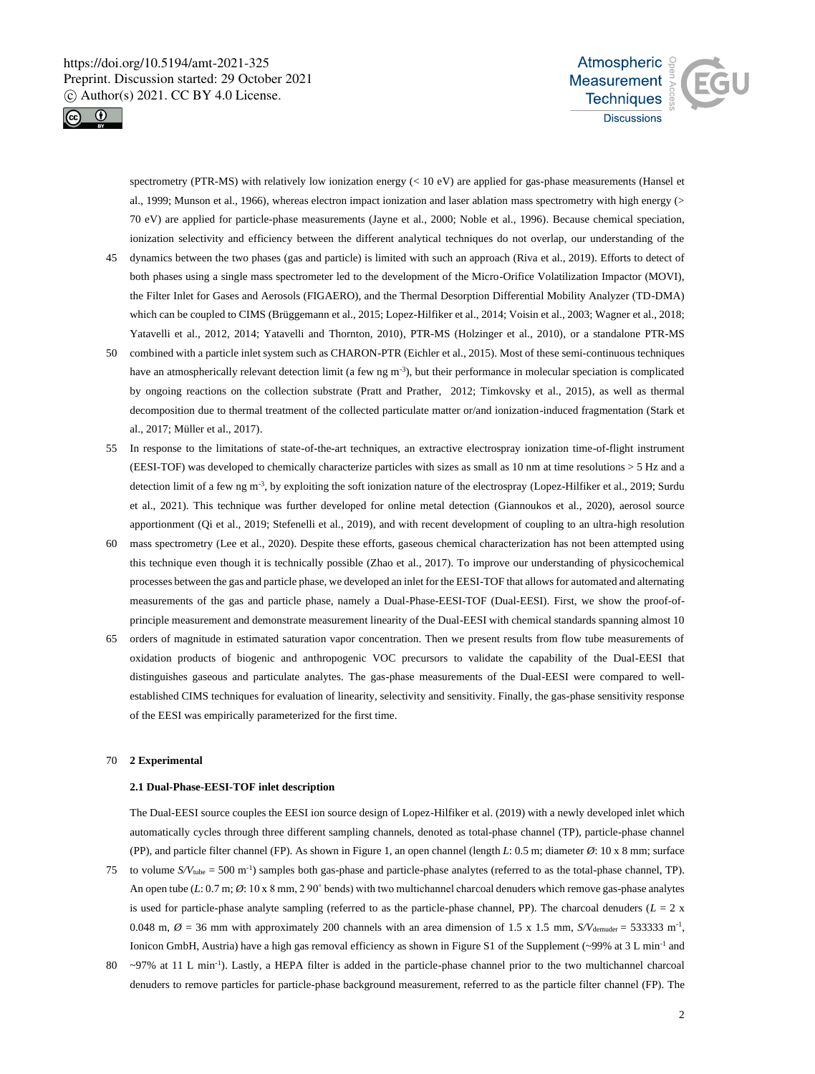



spectrometry (PTR-MS) with relatively low ionization energy (< 10 eV) are applied for gas-phase measurements (Hansel et al., 1999; Munson et al., 1966), whereas electron impact ionization and laser ablation mass spectrometry with high energy (> 70 eV) are applied for particle-phase measurements (Jayne et al., 2000; Noble et al., 1996). Because chemical speciation, ionization selectivity and efficiency between the different analytical techniques do not overlap, our understanding of the

- 45 dynamics between the two phases (gas and particle) is limited with such an approach (Riva et al., 2019). Efforts to detect of both phases using a single mass spectrometer led to the development of the Micro-Orifice Volatilization Impactor (MOVI), the Filter Inlet for Gases and Aerosols (FIGAERO), and the Thermal Desorption Differential Mobility Analyzer (TD-DMA) which can be coupled to CIMS (Brüggemann et al., 2015; Lopez-Hilfiker et al., 2014; Voisin et al., 2003; Wagner et al., 2018; Yatavelli et al., 2012, 2014; Yatavelli and Thornton, 2010), PTR-MS (Holzinger et al., 2010), or a standalone PTR-MS
- 50 combined with a particle inlet system such as CHARON-PTR (Eichler et al., 2015). Most of these semi-continuous techniques have an atmospherically relevant detection limit (a few ng m<sup>-3</sup>), but their performance in molecular speciation is complicated by ongoing reactions on the collection substrate (Pratt and Prather, 2012; Timkovsky et al., 2015), as well as thermal decomposition due to thermal treatment of the collected particulate matter or/and ionization-induced fragmentation (Stark et al., 2017; Müller et al., 2017).
- 55 In response to the limitations of state-of-the-art techniques, an extractive electrospray ionization time-of-flight instrument (EESI-TOF) was developed to chemically characterize particles with sizes as small as 10 nm at time resolutions > 5 Hz and a detection limit of a few ng m<sup>-3</sup>, by exploiting the soft ionization nature of the electrospray (Lopez-Hilfiker et al., 2019; Surdu et al., 2021). This technique was further developed for online metal detection (Giannoukos et al., 2020), aerosol source apportionment (Qi et al., 2019; Stefenelli et al., 2019), and with recent development of coupling to an ultra-high resolution
- 60 mass spectrometry (Lee et al., 2020). Despite these efforts, gaseous chemical characterization has not been attempted using this technique even though it is technically possible (Zhao et al., 2017). To improve our understanding of physicochemical processes between the gas and particle phase, we developed an inlet for the EESI-TOF that allows for automated and alternating measurements of the gas and particle phase, namely a Dual-Phase-EESI-TOF (Dual-EESI). First, we show the proof-ofprinciple measurement and demonstrate measurement linearity of the Dual-EESI with chemical standards spanning almost 10
- 65 orders of magnitude in estimated saturation vapor concentration. Then we present results from flow tube measurements of oxidation products of biogenic and anthropogenic VOC precursors to validate the capability of the Dual-EESI that distinguishes gaseous and particulate analytes. The gas-phase measurements of the Dual-EESI were compared to wellestablished CIMS techniques for evaluation of linearity, selectivity and sensitivity. Finally, the gas-phase sensitivity response of the EESI was empirically parameterized for the first time.

## 70 **2 Experimental**

# **2.1 Dual-Phase-EESI-TOF inlet description**

The Dual-EESI source couples the EESI ion source design of Lopez-Hilfiker et al. (2019) with a newly developed inlet which automatically cycles through three different sampling channels, denoted as total-phase channel (TP), particle-phase channel (PP), and particle filter channel (FP). As shown in Figure 1, an open channel (length *L*: 0.5 m; diameter *Ø*: 10 x 8 mm; surface

- 75 to volume  $S/V_{\text{tube}} = 500 \text{ m}^{-1}$ ) samples both gas-phase and particle-phase analytes (referred to as the total-phase channel, TP). An open tube (*L*: 0.7 m;  $\varnothing$ : 10 x 8 mm, 2 90° bends) with two multichannel charcoal denuders which remove gas-phase analytes is used for particle-phase analyte sampling (referred to as the particle-phase channel, PP). The charcoal denuders ( $L = 2$  x 0.048 m,  $\varnothing$  = 36 mm with approximately 200 channels with an area dimension of 1.5 x 1.5 mm,  $S/V_{\text{demuder}}$  = 533333 m<sup>-1</sup>, Ionicon GmbH, Austria) have a high gas removal efficiency as shown in Figure S1 of the Supplement (~99% at 3 L min<sup>-1</sup> and
- $80 \sim 97\%$  at 11 L min<sup>-1</sup>). Lastly, a HEPA filter is added in the particle-phase channel prior to the two multichannel charcoal denuders to remove particles for particle-phase background measurement, referred to as the particle filter channel (FP). The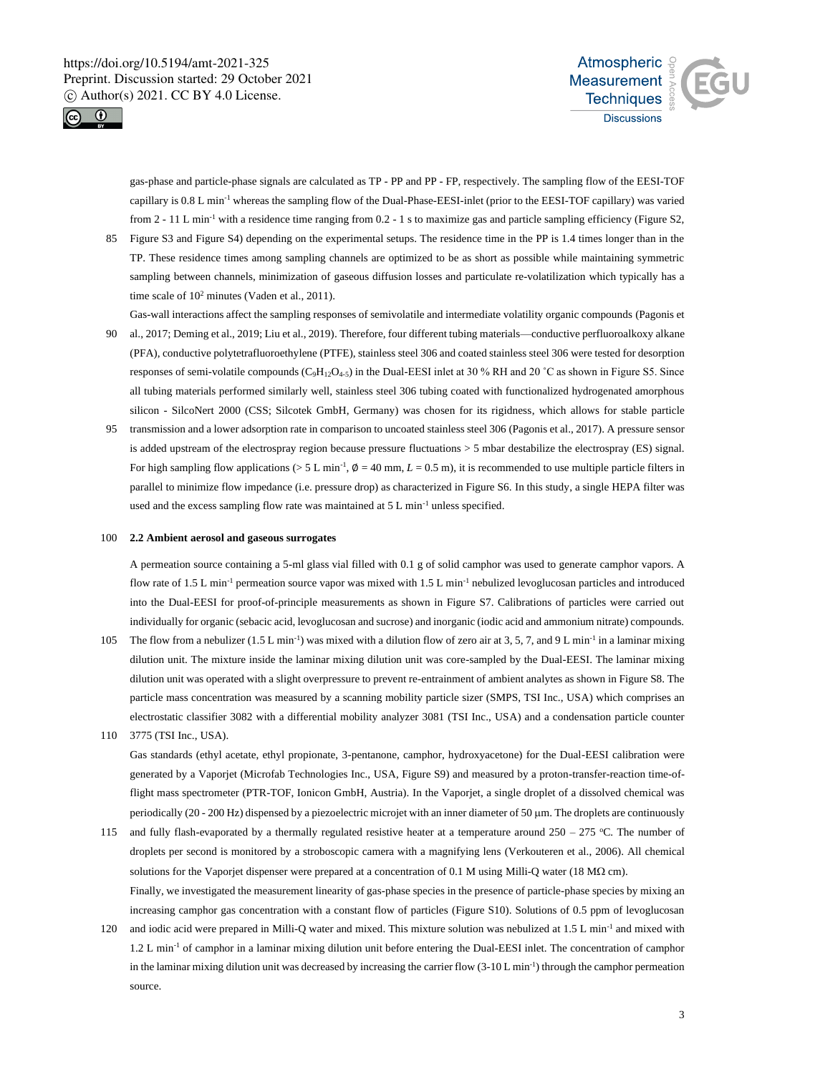



gas-phase and particle-phase signals are calculated as TP - PP and PP - FP, respectively. The sampling flow of the EESI-TOF capillary is 0.8 L min-1 whereas the sampling flow of the Dual-Phase-EESI-inlet (prior to the EESI-TOF capillary) was varied from 2 - 11 L min<sup>-1</sup> with a residence time ranging from 0.2 - 1 s to maximize gas and particle sampling efficiency (Figure S2,

- 85 Figure S3 and Figure S4) depending on the experimental setups. The residence time in the PP is 1.4 times longer than in the TP. These residence times among sampling channels are optimized to be as short as possible while maintaining symmetric sampling between channels, minimization of gaseous diffusion losses and particulate re-volatilization which typically has a time scale of  $10^2$  minutes (Vaden et al., 2011).
- Gas-wall interactions affect the sampling responses of semivolatile and intermediate volatility organic compounds (Pagonis et 90 al., 2017; Deming et al., 2019; Liu et al., 2019). Therefore, four different tubing materials—conductive perfluoroalkoxy alkane (PFA), conductive polytetrafluoroethylene (PTFE), stainless steel 306 and coated stainless steel 306 were tested for desorption responses of semi-volatile compounds  $(C_9H_{12}O_{4-5})$  in the Dual-EESI inlet at 30 % RH and 20 °C as shown in Figure S5. Since all tubing materials performed similarly well, stainless steel 306 tubing coated with functionalized hydrogenated amorphous silicon - SilcoNert 2000 (CSS; Silcotek GmbH, Germany) was chosen for its rigidness, which allows for stable particle
- transmission and a lower adsorption rate in comparison to uncoated stainless steel 306 (Pagonis et al., 2017). A pressure sensor is added upstream of the electrospray region because pressure fluctuations > 5 mbar destabilize the electrospray (ES) signal. For high sampling flow applications ( $> 5$  L min<sup>-1</sup>,  $\phi = 40$  mm,  $L = 0.5$  m), it is recommended to use multiple particle filters in parallel to minimize flow impedance (i.e. pressure drop) as characterized in Figure S6. In this study, a single HEPA filter was used and the excess sampling flow rate was maintained at 5 L min-1 unless specified.

#### 100 **2.2 Ambient aerosol and gaseous surrogates**

A permeation source containing a 5-ml glass vial filled with 0.1 g of solid camphor was used to generate camphor vapors. A flow rate of 1.5 L min<sup>-1</sup> permeation source vapor was mixed with 1.5 L min<sup>-1</sup> nebulized levoglucosan particles and introduced into the Dual-EESI for proof-of-principle measurements as shown in Figure S7. Calibrations of particles were carried out individually for organic (sebacic acid, levoglucosan and sucrose) and inorganic (iodic acid and ammonium nitrate) compounds.

- 105 The flow from a nebulizer (1.5 L min<sup>-1</sup>) was mixed with a dilution flow of zero air at 3, 5, 7, and 9 L min<sup>-1</sup> in a laminar mixing dilution unit. The mixture inside the laminar mixing dilution unit was core-sampled by the Dual-EESI. The laminar mixing dilution unit was operated with a slight overpressure to prevent re-entrainment of ambient analytes as shown in Figure S8. The particle mass concentration was measured by a scanning mobility particle sizer (SMPS, TSI Inc., USA) which comprises an electrostatic classifier 3082 with a differential mobility analyzer 3081 (TSI Inc., USA) and a condensation particle counter
- 110 3775 (TSI Inc., USA).

Gas standards (ethyl acetate, ethyl propionate, 3-pentanone, camphor, hydroxyacetone) for the Dual-EESI calibration were generated by a Vaporjet (Microfab Technologies Inc., USA, Figure S9) and measured by a proton-transfer-reaction time-offlight mass spectrometer (PTR-TOF, Ionicon GmbH, Austria). In the Vaporjet, a single droplet of a dissolved chemical was periodically (20 - 200 Hz) dispensed by a piezoelectric microjet with an inner diameter of 50 m. The droplets are continuously

- 115 and fully flash-evaporated by a thermally regulated resistive heater at a temperature around  $250 275$  °C. The number of droplets per second is monitored by a stroboscopic camera with a magnifying lens (Verkouteren et al., 2006). All chemical solutions for the Vaporjet dispenser were prepared at a concentration of 0.1 M using Milli-Q water (18 M $\Omega$  cm). Finally, we investigated the measurement linearity of gas-phase species in the presence of particle-phase species by mixing an increasing camphor gas concentration with a constant flow of particles (Figure S10). Solutions of 0.5 ppm of levoglucosan
- 120 and iodic acid were prepared in Milli-Q water and mixed. This mixture solution was nebulized at 1.5 L min<sup>-1</sup> and mixed with 1.2 L min<sup>-1</sup> of camphor in a laminar mixing dilution unit before entering the Dual-EESI inlet. The concentration of camphor in the laminar mixing dilution unit was decreased by increasing the carrier flow  $(3-10 \text{ L min}^{-1})$  through the camphor permeation source.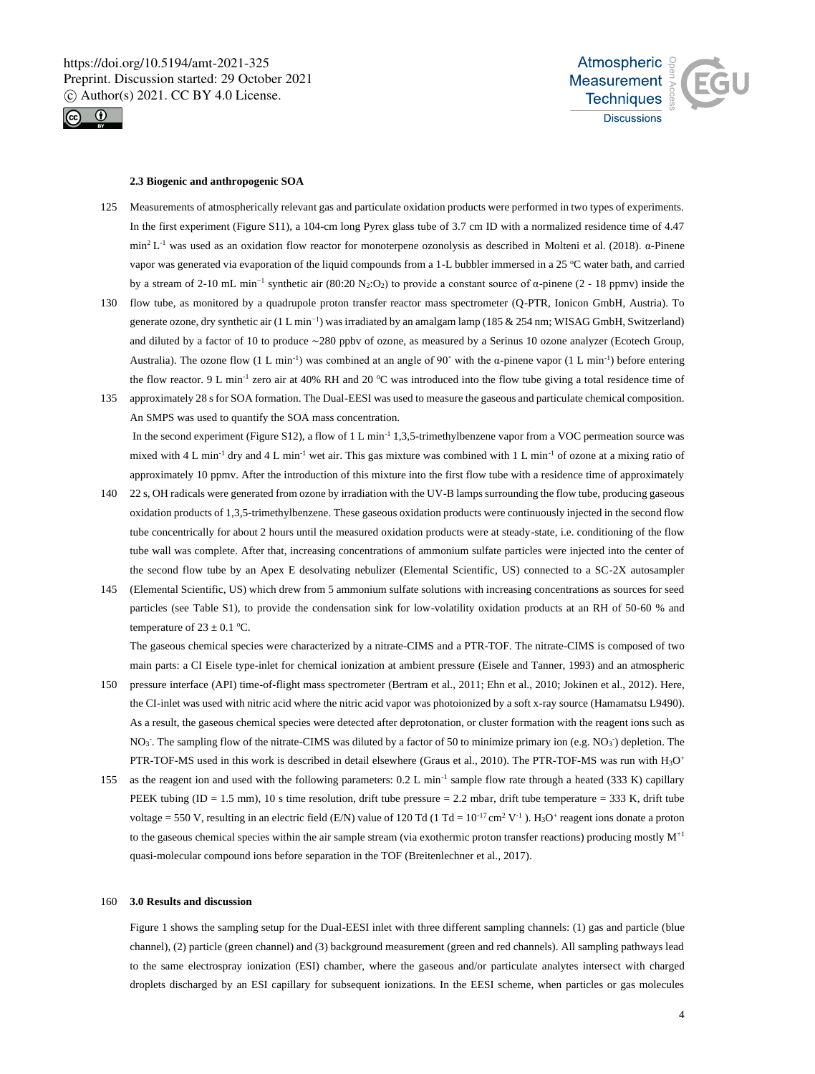



#### **2.3 Biogenic and anthropogenic SOA**

- 125 Measurements of atmospherically relevant gas and particulate oxidation products were performed in two types of experiments. In the first experiment (Figure S11), a 104-cm long Pyrex glass tube of 3.7 cm ID with a normalized residence time of 4.47  $min<sup>2</sup> L<sup>-1</sup>$  was used as an oxidation flow reactor for monoterpene ozonolysis as described in Molteni et al. (2018). α-Pinene vapor was generated via evaporation of the liquid compounds from a 1-L bubbler immersed in a 25 °C water bath, and carried by a stream of 2-10 mL min−1 synthetic air (80:20 N2:O2) to provide a constant source of α-pinene (2 - 18 ppmv) inside the
- 130 flow tube, as monitored by a quadrupole proton transfer reactor mass spectrometer (Q-PTR, Ionicon GmbH, Austria). To generate ozone, dry synthetic air (1 L min−1) was irradiated by an amalgam lamp (185 & 254 nm; WISAG GmbH, Switzerland) and diluted by a factor of 10 to produce ~280 ppbv of ozone, as measured by a Serinus 10 ozone analyzer (Ecotech Group, Australia). The ozone flow  $(1 L \text{ min}^{-1})$  was combined at an angle of 90° with the  $\alpha$ -pinene vapor  $(1 L \text{ min}^{-1})$  before entering the flow reactor. 9 L min<sup>-1</sup> zero air at 40% RH and 20  $^{\circ}$ C was introduced into the flow tube giving a total residence time of
- 135 approximately 28 s for SOA formation. The Dual-EESI was used to measure the gaseous and particulate chemical composition. An SMPS was used to quantify the SOA mass concentration. In the second experiment (Figure S12), a flow of 1 L min<sup>-1</sup> 1,3,5-trimethylbenzene vapor from a VOC permeation source was mixed with 4 L min<sup>-1</sup> dry and 4 L min<sup>-1</sup> wet air. This gas mixture was combined with 1 L min<sup>-1</sup> of ozone at a mixing ratio of approximately 10 ppmv. After the introduction of this mixture into the first flow tube with a residence time of approximately
- 140 22 s, OH radicals were generated from ozone by irradiation with the UV-B lamps surrounding the flow tube, producing gaseous oxidation products of 1,3,5-trimethylbenzene. These gaseous oxidation products were continuously injected in the second flow tube concentrically for about 2 hours until the measured oxidation products were at steady-state, i.e. conditioning of the flow tube wall was complete. After that, increasing concentrations of ammonium sulfate particles were injected into the center of the second flow tube by an Apex E desolvating nebulizer (Elemental Scientific, US) connected to a SC-2X autosampler
- 145 (Elemental Scientific, US) which drew from 5 ammonium sulfate solutions with increasing concentrations as sources for seed particles (see Table S1), to provide the condensation sink for low-volatility oxidation products at an RH of 50-60 % and temperature of  $23 \pm 0.1$  °C.

The gaseous chemical species were characterized by a nitrate-CIMS and a PTR-TOF. The nitrate-CIMS is composed of two main parts: a CI Eisele type-inlet for chemical ionization at ambient pressure (Eisele and Tanner, 1993) and an atmospheric

- 150 pressure interface (API) time-of-flight mass spectrometer (Bertram et al., 2011; Ehn et al., 2010; Jokinen et al., 2012). Here, the CI-inlet was used with nitric acid where the nitric acid vapor was photoionized by a soft x-ray source (Hamamatsu L9490). As a result, the gaseous chemical species were detected after deprotonation, or cluster formation with the reagent ions such as NO<sub>3</sub>. The sampling flow of the nitrate-CIMS was diluted by a factor of 50 to minimize primary ion (e.g. NO<sub>3</sub>) depletion. The PTR-TOF-MS used in this work is described in detail elsewhere (Graus et al., 2010). The PTR-TOF-MS was run with H3O<sup>+</sup>
- 155 as the reagent ion and used with the following parameters:  $0.2$  L min<sup>-1</sup> sample flow rate through a heated (333 K) capillary PEEK tubing (ID = 1.5 mm), 10 s time resolution, drift tube pressure = 2.2 mbar, drift tube temperature = 333 K, drift tube voltage = 550 V, resulting in an electric field (E/N) value of 120 Td (1 Td =  $10^{-17}$  cm<sup>2</sup> V<sup>-1</sup>). H<sub>3</sub>O<sup>+</sup> reagent ions donate a proton to the gaseous chemical species within the air sample stream (via exothermic proton transfer reactions) producing mostly  $M^{+1}$ quasi-molecular compound ions before separation in the TOF (Breitenlechner et al., 2017).

#### 160 **3.0 Results and discussion**

Figure 1 shows the sampling setup for the Dual-EESI inlet with three different sampling channels: (1) gas and particle (blue channel), (2) particle (green channel) and (3) background measurement (green and red channels). All sampling pathways lead to the same electrospray ionization (ESI) chamber, where the gaseous and/or particulate analytes intersect with charged droplets discharged by an ESI capillary for subsequent ionizations. In the EESI scheme, when particles or gas molecules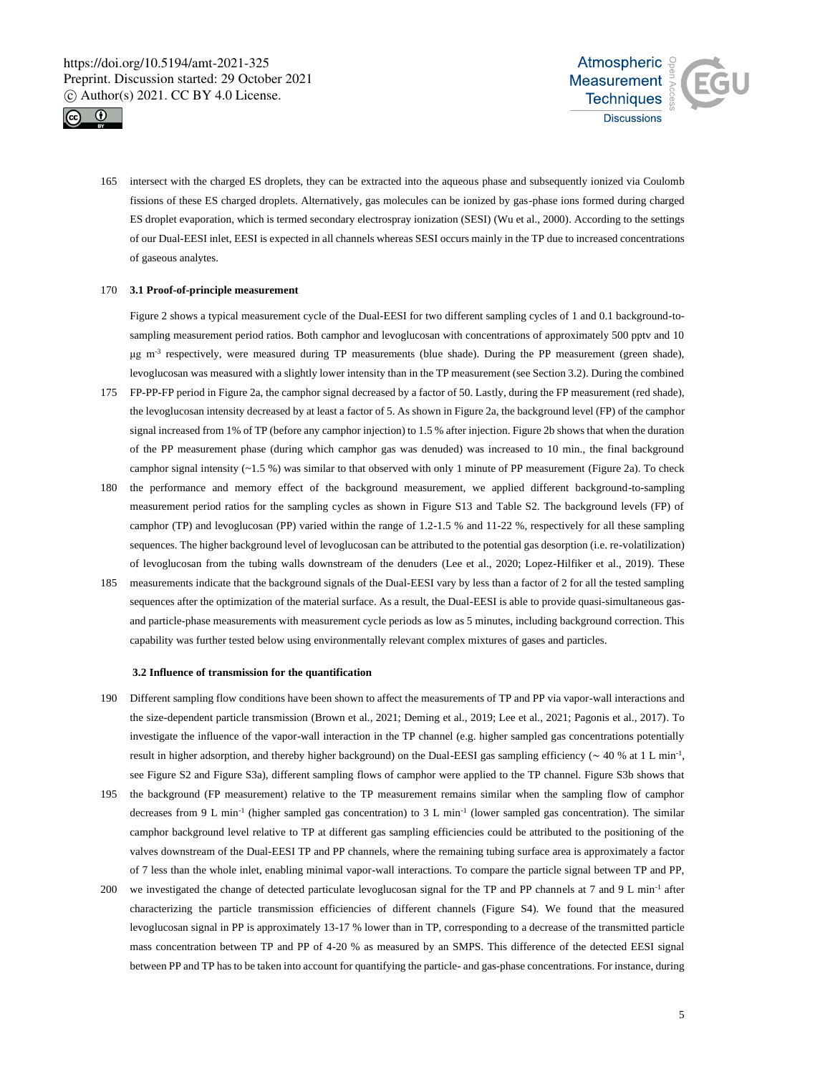



165 intersect with the charged ES droplets, they can be extracted into the aqueous phase and subsequently ionized via Coulomb fissions of these ES charged droplets. Alternatively, gas molecules can be ionized by gas-phase ions formed during charged ES droplet evaporation, which is termed secondary electrospray ionization (SESI) (Wu et al., 2000). According to the settings of our Dual-EESI inlet, EESI is expected in all channels whereas SESI occurs mainly in the TP due to increased concentrations of gaseous analytes.

# 170 **3.1 Proof-of-principle measurement**

Figure 2 shows a typical measurement cycle of the Dual-EESI for two different sampling cycles of 1 and 0.1 background-tosampling measurement period ratios. Both camphor and levoglucosan with concentrations of approximately 500 pptv and 10 μg m<sup>-3</sup> respectively, were measured during TP measurements (blue shade). During the PP measurement (green shade), levoglucosan was measured with a slightly lower intensity than in the TP measurement (see Section 3.2). During the combined

- 175 FP-PP-FP period in Figure 2a, the camphor signal decreased by a factor of 50. Lastly, during the FP measurement (red shade), the levoglucosan intensity decreased by at least a factor of 5. As shown in Figure 2a, the background level (FP) of the camphor signal increased from 1% of TP (before any camphor injection) to 1.5 % after injection. Figure 2b shows that when the duration of the PP measurement phase (during which camphor gas was denuded) was increased to 10 min., the final background camphor signal intensity  $(-1.5\%)$  was similar to that observed with only 1 minute of PP measurement (Figure 2a). To check
- 180 the performance and memory effect of the background measurement, we applied different background-to-sampling measurement period ratios for the sampling cycles as shown in Figure S13 and Table S2. The background levels (FP) of camphor (TP) and levoglucosan (PP) varied within the range of 1.2-1.5 % and 11-22 %, respectively for all these sampling sequences. The higher background level of levoglucosan can be attributed to the potential gas desorption (i.e. re-volatilization) of levoglucosan from the tubing walls downstream of the denuders (Lee et al., 2020; Lopez-Hilfiker et al., 2019). These
- 185 measurements indicate that the background signals of the Dual-EESI vary by less than a factor of 2 for all the tested sampling sequences after the optimization of the material surface. As a result, the Dual-EESI is able to provide quasi-simultaneous gasand particle-phase measurements with measurement cycle periods as low as 5 minutes, including background correction. This capability was further tested below using environmentally relevant complex mixtures of gases and particles.

#### **3.2 Influence of transmission for the quantification**

- 190 Different sampling flow conditions have been shown to affect the measurements of TP and PP via vapor-wall interactions and the size-dependent particle transmission (Brown et al., 2021; Deming et al., 2019; Lee et al., 2021; Pagonis et al., 2017). To investigate the influence of the vapor-wall interaction in the TP channel (e.g. higher sampled gas concentrations potentially result in higher adsorption, and thereby higher background) on the Dual-EESI gas sampling efficiency ( $\sim$  40 % at 1 L min<sup>-1</sup>, see Figure S2 and Figure S3a), different sampling flows of camphor were applied to the TP channel. Figure S3b shows that
- 195 the background (FP measurement) relative to the TP measurement remains similar when the sampling flow of camphor decreases from 9 L min<sup>-1</sup> (higher sampled gas concentration) to 3 L min<sup>-1</sup> (lower sampled gas concentration). The similar camphor background level relative to TP at different gas sampling efficiencies could be attributed to the positioning of the valves downstream of the Dual-EESI TP and PP channels, where the remaining tubing surface area is approximately a factor of 7 less than the whole inlet, enabling minimal vapor-wall interactions. To compare the particle signal between TP and PP,
- 200 we investigated the change of detected particulate levoglucosan signal for the TP and PP channels at  $7$  and  $9 \text{ L min}^{-1}$  after characterizing the particle transmission efficiencies of different channels (Figure S4). We found that the measured levoglucosan signal in PP is approximately 13-17 % lower than in TP, corresponding to a decrease of the transmitted particle mass concentration between TP and PP of 4-20 % as measured by an SMPS. This difference of the detected EESI signal between PP and TP has to be taken into account for quantifying the particle- and gas-phase concentrations. For instance, during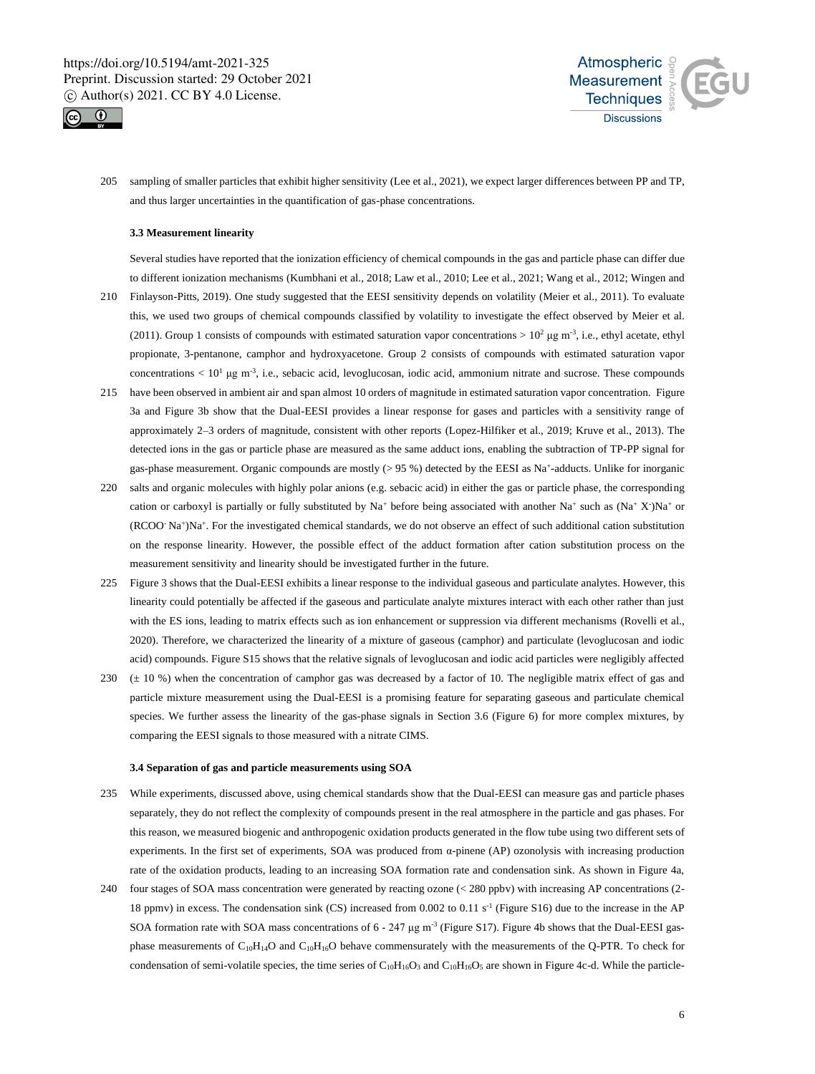



205 sampling of smaller particles that exhibit higher sensitivity (Lee et al., 2021), we expect larger differences between PP and TP, and thus larger uncertainties in the quantification of gas-phase concentrations.

# **3.3 Measurement linearity**

Several studies have reported that the ionization efficiency of chemical compounds in the gas and particle phase can differ due to different ionization mechanisms (Kumbhani et al., 2018; Law et al., 2010; Lee et al., 2021; Wang et al., 2012; Wingen and

- 210 Finlayson-Pitts, 2019). One study suggested that the EESI sensitivity depends on volatility (Meier et al., 2011). To evaluate this, we used two groups of chemical compounds classified by volatility to investigate the effect observed by Meier et al. (2011). Group 1 consists of compounds with estimated saturation vapor concentrations >  $10^2 \,\text{\mu g m}^3$ , i.e., ethyl acetate, ethyl propionate, 3-pentanone, camphor and hydroxyacetone. Group 2 consists of compounds with estimated saturation vapor concentrations  $< 10<sup>1</sup> \mu g$  m<sup>-3</sup>, i.e., sebacic acid, levoglucosan, iodic acid, ammonium nitrate and sucrose. These compounds
- 215 have been observed in ambient air and span almost 10 orders of magnitude in estimated saturation vapor concentration. Figure 3a and Figure 3b show that the Dual-EESI provides a linear response for gases and particles with a sensitivity range of approximately 2–3 orders of magnitude, consistent with other reports (Lopez-Hilfiker et al., 2019; Kruve et al., 2013). The detected ions in the gas or particle phase are measured as the same adduct ions, enabling the subtraction of TP-PP signal for gas-phase measurement. Organic compounds are mostly (> 95 %) detected by the EESI as Na<sup>+</sup>-adducts. Unlike for inorganic
- 220 salts and organic molecules with highly polar anions (e.g. sebacic acid) in either the gas or particle phase, the corresponding cation or carboxyl is partially or fully substituted by Na<sup>+</sup> before being associated with another Na<sup>+</sup> such as  $(Na^+ X^*)Na^+$  or (RCOO- Na<sup>+</sup> )Na<sup>+</sup> . For the investigated chemical standards, we do not observe an effect of such additional cation substitution on the response linearity. However, the possible effect of the adduct formation after cation substitution process on the measurement sensitivity and linearity should be investigated further in the future.
- 225 Figure 3 shows that the Dual-EESI exhibits a linear response to the individual gaseous and particulate analytes. However, this linearity could potentially be affected if the gaseous and particulate analyte mixtures interact with each other rather than just with the ES ions, leading to matrix effects such as ion enhancement or suppression via different mechanisms (Rovelli et al., 2020). Therefore, we characterized the linearity of a mixture of gaseous (camphor) and particulate (levoglucosan and iodic acid) compounds. Figure S15 shows that the relative signals of levoglucosan and iodic acid particles were negligibly affected
- 230 (± 10 %) when the concentration of camphor gas was decreased by a factor of 10. The negligible matrix effect of gas and particle mixture measurement using the Dual-EESI is a promising feature for separating gaseous and particulate chemical species. We further assess the linearity of the gas-phase signals in Section 3.6 (Figure 6) for more complex mixtures, by comparing the EESI signals to those measured with a nitrate CIMS.

#### **3.4 Separation of gas and particle measurements using SOA**

- 235 While experiments, discussed above, using chemical standards show that the Dual-EESI can measure gas and particle phases separately, they do not reflect the complexity of compounds present in the real atmosphere in the particle and gas phases. For this reason, we measured biogenic and anthropogenic oxidation products generated in the flow tube using two different sets of experiments. In the first set of experiments, SOA was produced from α-pinene (AP) ozonolysis with increasing production rate of the oxidation products, leading to an increasing SOA formation rate and condensation sink. As shown in Figure 4a,
- 240 four stages of SOA mass concentration were generated by reacting ozone (< 280 ppbv) with increasing AP concentrations (2- 18 ppmv) in excess. The condensation sink (CS) increased from 0.002 to 0.11 s<sup>-1</sup> (Figure S16) due to the increase in the AP SOA formation rate with SOA mass concentrations of  $6 - 247 \mu g$  m<sup>-3</sup> (Figure S17). Figure 4b shows that the Dual-EESI gasphase measurements of  $C_{10}H_{14}O$  and  $C_{10}H_{16}O$  behave commensurately with the measurements of the Q-PTR. To check for condensation of semi-volatile species, the time series of  $C_{10}H_{16}O_3$  and  $C_{10}H_{16}O_5$  are shown in Figure 4c-d. While the particle-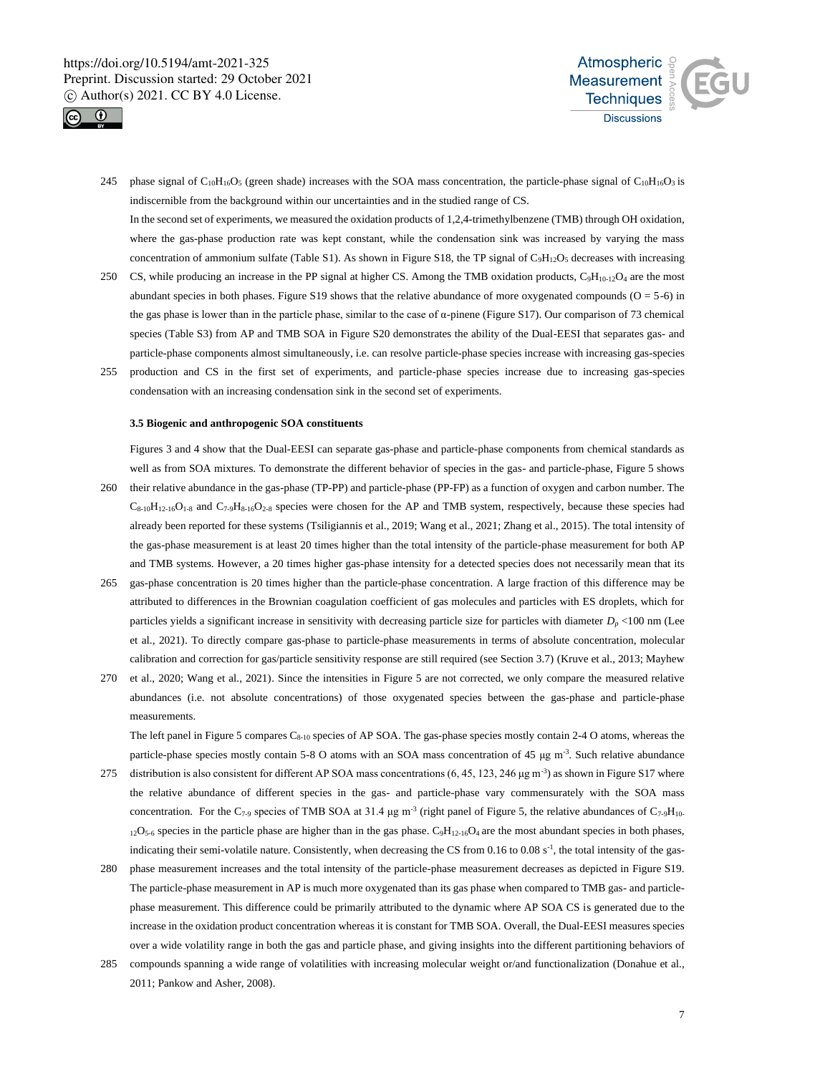



- 245 phase signal of  $C_{10}H_{16}O_5$  (green shade) increases with the SOA mass concentration, the particle-phase signal of  $C_{10}H_{16}O_3$  is indiscernible from the background within our uncertainties and in the studied range of CS. In the second set of experiments, we measured the oxidation products of 1,2,4-trimethylbenzene (TMB) through OH oxidation, where the gas-phase production rate was kept constant, while the condensation sink was increased by varying the mass concentration of ammonium sulfate (Table S1). As shown in Figure S18, the TP signal of  $C_9H_{12}O_5$  decreases with increasing
- 250 CS, while producing an increase in the PP signal at higher CS. Among the TMB oxidation products,  $C_9H_{10-12}O_4$  are the most abundant species in both phases. Figure S19 shows that the relative abundance of more oxygenated compounds ( $O = 5-6$ ) in the gas phase is lower than in the particle phase, similar to the case of α-pinene (Figure S17). Our comparison of 73 chemical species (Table S3) from AP and TMB SOA in Figure S20 demonstrates the ability of the Dual-EESI that separates gas- and particle-phase components almost simultaneously, i.e. can resolve particle-phase species increase with increasing gas-species
- 255 production and CS in the first set of experiments, and particle-phase species increase due to increasing gas-species condensation with an increasing condensation sink in the second set of experiments.

# **3.5 Biogenic and anthropogenic SOA constituents**

Figures 3 and 4 show that the Dual-EESI can separate gas-phase and particle-phase components from chemical standards as well as from SOA mixtures. To demonstrate the different behavior of species in the gas- and particle-phase, Figure 5 shows 260 their relative abundance in the gas-phase (TP-PP) and particle-phase (PP-FP) as a function of oxygen and carbon number. The  $C_{8-10}H_{12-16}O_{1-8}$  and  $C_{7-9}H_{8-16}O_{2-8}$  species were chosen for the AP and TMB system, respectively, because these species had

already been reported for these systems (Tsiligiannis et al., 2019; Wang et al., 2021; Zhang et al., 2015). The total intensity of the gas-phase measurement is at least 20 times higher than the total intensity of the particle-phase measurement for both AP and TMB systems. However, a 20 times higher gas-phase intensity for a detected species does not necessarily mean that its

- 265 gas-phase concentration is 20 times higher than the particle-phase concentration. A large fraction of this difference may be attributed to differences in the Brownian coagulation coefficient of gas molecules and particles with ES droplets, which for particles yields a significant increase in sensitivity with decreasing particle size for particles with diameter *D<sup>p</sup>* <100 nm (Lee et al., 2021). To directly compare gas-phase to particle-phase measurements in terms of absolute concentration, molecular calibration and correction for gas/particle sensitivity response are still required (see Section 3.7) (Kruve et al., 2013; Mayhew
- 270 et al., 2020; Wang et al., 2021). Since the intensities in Figure 5 are not corrected, we only compare the measured relative abundances (i.e. not absolute concentrations) of those oxygenated species between the gas-phase and particle-phase measurements.

The left panel in Figure 5 compares C<sub>8-10</sub> species of AP SOA. The gas-phase species mostly contain 2-4 O atoms, whereas the particle-phase species mostly contain 5-8 O atoms with an SOA mass concentration of 45  $\mu$ g m<sup>-3</sup>. Such relative abundance

- 275 distribution is also consistent for different AP SOA mass concentrations  $(6, 45, 123, 246 \,\mu g \,\text{m}^{-3})$  as shown in Figure S17 where the relative abundance of different species in the gas- and particle-phase vary commensurately with the SOA mass concentration. For the C<sub>7-9</sub> species of TMB SOA at 31.4  $\mu$ g m<sup>-3</sup> (right panel of Figure 5, the relative abundances of C<sub>7-9</sub>H<sub>10</sub>.  $12\text{O}_{5-6}$  species in the particle phase are higher than in the gas phase.  $\text{C}_9\text{H}_{12-16}\text{O}_4$  are the most abundant species in both phases, indicating their semi-volatile nature. Consistently, when decreasing the CS from 0.16 to 0.08 s<sup>-1</sup>, the total intensity of the gas-
- 280 phase measurement increases and the total intensity of the particle-phase measurement decreases as depicted in Figure S19. The particle-phase measurement in AP is much more oxygenated than its gas phase when compared to TMB gas- and particlephase measurement. This difference could be primarily attributed to the dynamic where AP SOA CS is generated due to the increase in the oxidation product concentration whereas it is constant for TMB SOA. Overall, the Dual-EESI measures species over a wide volatility range in both the gas and particle phase, and giving insights into the different partitioning behaviors of
- 285 compounds spanning a wide range of volatilities with increasing molecular weight or/and functionalization (Donahue et al., 2011; Pankow and Asher, 2008).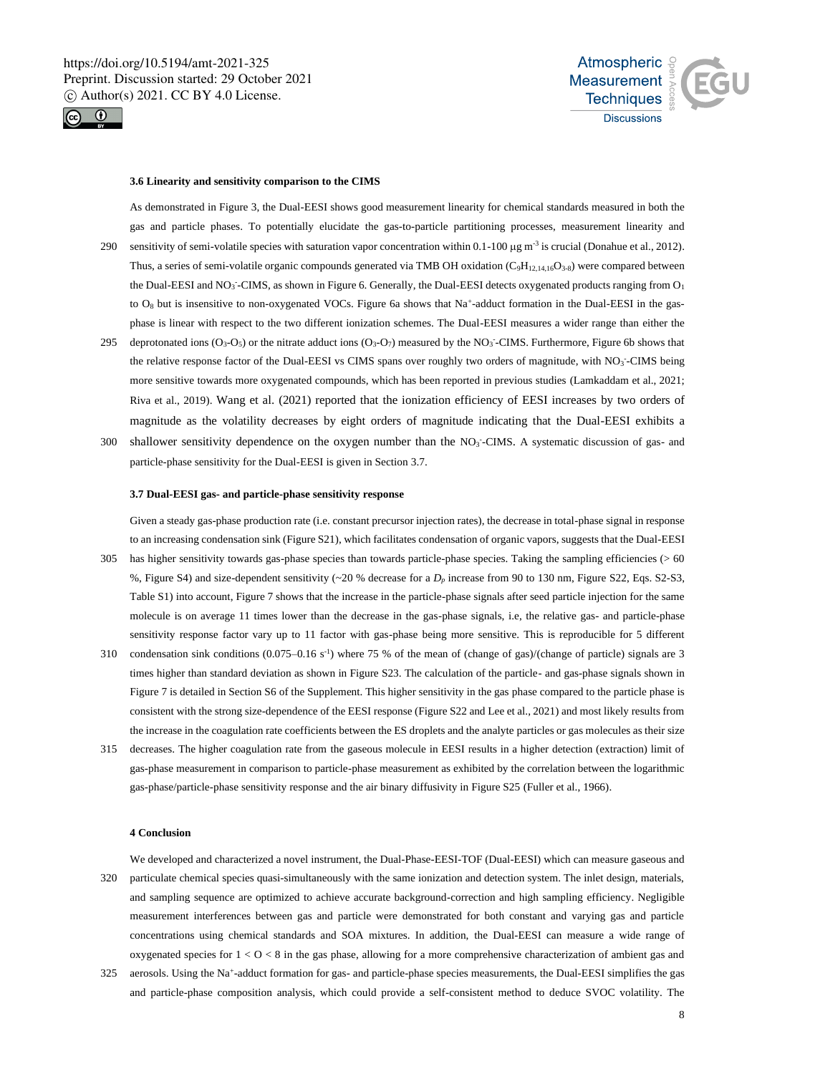



#### **3.6 Linearity and sensitivity comparison to the CIMS**

As demonstrated in Figure 3, the Dual-EESI shows good measurement linearity for chemical standards measured in both the gas and particle phases. To potentially elucidate the gas-to-particle partitioning processes, measurement linearity and 290 sensitivity of semi-volatile species with saturation vapor concentration within  $0.1$ -100  $\mu$ g m<sup>-3</sup> is crucial (Donahue et al., 2012). Thus, a series of semi-volatile organic compounds generated via TMB OH oxidation  $(C_9H_{12,14,16}O_{3.8})$  were compared between the Dual-EESI and NO<sub>3</sub><sup>-</sup>-CIMS, as shown in Figure 6. Generally, the Dual-EESI detects oxygenated products ranging from  $O<sub>1</sub>$ to  $O_8$  but is insensitive to non-oxygenated VOCs. Figure 6a shows that Na<sup>+</sup>-adduct formation in the Dual-EESI in the gasphase is linear with respect to the two different ionization schemes. The Dual-EESI measures a wider range than either the

- 295 deprotonated ions  $(O_3-O_5)$  or the nitrate adduct ions  $(O_3-O_7)$  measured by the NO<sub>3</sub>-CIMS. Furthermore, Figure 6b shows that the relative response factor of the Dual-EESI vs CIMS spans over roughly two orders of magnitude, with NO3-CIMS being more sensitive towards more oxygenated compounds, which has been reported in previous studies (Lamkaddam et al., 2021; Riva et al., 2019). Wang et al. (2021) reported that the ionization efficiency of EESI increases by two orders of magnitude as the volatility decreases by eight orders of magnitude indicating that the Dual-EESI exhibits a
- 300 shallower sensitivity dependence on the oxygen number than the NO<sub>3</sub>-CIMS. A systematic discussion of gas- and particle-phase sensitivity for the Dual-EESI is given in Section 3.7.

#### **3.7 Dual-EESI gas- and particle-phase sensitivity response**

Given a steady gas-phase production rate (i.e. constant precursor injection rates), the decrease in total-phase signal in response to an increasing condensation sink (Figure S21), which facilitates condensation of organic vapors, suggests that the Dual-EESI 305 has higher sensitivity towards gas-phase species than towards particle-phase species. Taking the sampling efficiencies (> 60 %, Figure S4) and size-dependent sensitivity (~20 % decrease for a *D<sup>p</sup>* increase from 90 to 130 nm, Figure S22, Eqs. S2-S3,

- Table S1) into account, Figure 7 shows that the increase in the particle-phase signals after seed particle injection for the same molecule is on average 11 times lower than the decrease in the gas-phase signals, i.e, the relative gas- and particle-phase sensitivity response factor vary up to 11 factor with gas-phase being more sensitive. This is reproducible for 5 different 310 condensation sink conditions  $(0.075-0.16 \text{ s}^{-1})$  where 75 % of the mean of (change of gas)/(change of particle) signals are 3
- times higher than standard deviation as shown in Figure S23. The calculation of the particle- and gas-phase signals shown in Figure 7 is detailed in Section S6 of the Supplement. This higher sensitivity in the gas phase compared to the particle phase is consistent with the strong size-dependence of the EESI response (Figure S22 and Lee et al., 2021) and most likely results from the increase in the coagulation rate coefficients between the ES droplets and the analyte particles or gas molecules as their size
- 315 decreases. The higher coagulation rate from the gaseous molecule in EESI results in a higher detection (extraction) limit of gas-phase measurement in comparison to particle-phase measurement as exhibited by the correlation between the logarithmic gas-phase/particle-phase sensitivity response and the air binary diffusivity in Figure S25 (Fuller et al., 1966).

# **4 Conclusion**

We developed and characterized a novel instrument, the Dual-Phase-EESI-TOF (Dual-EESI) which can measure gaseous and 320 particulate chemical species quasi-simultaneously with the same ionization and detection system. The inlet design, materials, and sampling sequence are optimized to achieve accurate background-correction and high sampling efficiency. Negligible measurement interferences between gas and particle were demonstrated for both constant and varying gas and particle concentrations using chemical standards and SOA mixtures. In addition, the Dual-EESI can measure a wide range of oxygenated species for  $1 < 0 < 8$  in the gas phase, allowing for a more comprehensive characterization of ambient gas and

325 aerosols. Using the Na<sup>+</sup>-adduct formation for gas- and particle-phase species measurements, the Dual-EESI simplifies the gas and particle-phase composition analysis, which could provide a self-consistent method to deduce SVOC volatility. The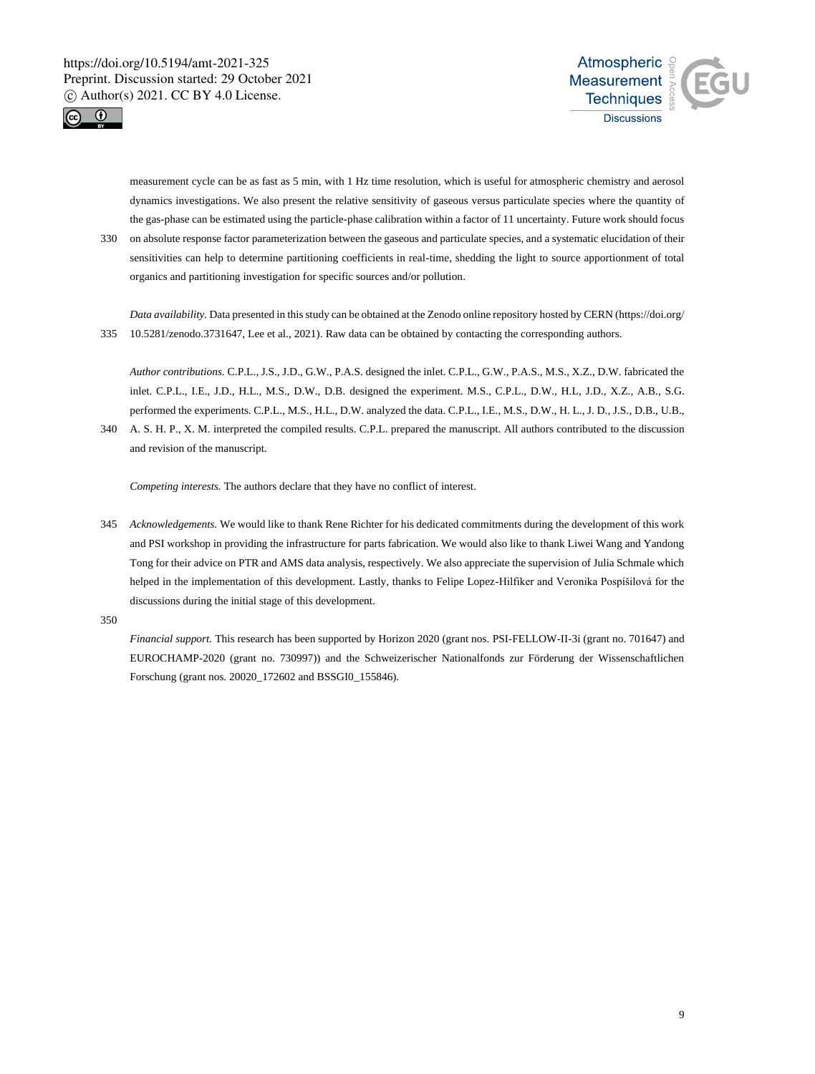



measurement cycle can be as fast as 5 min, with 1 Hz time resolution, which is useful for atmospheric chemistry and aerosol dynamics investigations. We also present the relative sensitivity of gaseous versus particulate species where the quantity of the gas-phase can be estimated using the particle-phase calibration within a factor of 11 uncertainty. Future work should focus

330 on absolute response factor parameterization between the gaseous and particulate species, and a systematic elucidation of their sensitivities can help to determine partitioning coefficients in real-time, shedding the light to source apportionment of total organics and partitioning investigation for specific sources and/or pollution.

*Data availability.* Data presented in this study can be obtained at the Zenodo online repository hosted by CERN (https://doi.org/ 335 10.5281/zenodo.3731647, Lee et al., 2021). Raw data can be obtained by contacting the corresponding authors.

*Author contributions.* C.P.L., J.S., J.D., G.W., P.A.S. designed the inlet. C.P.L., G.W., P.A.S., M.S., X.Z., D.W. fabricated the inlet. C.P.L., I.E., J.D., H.L., M.S., D.W., D.B. designed the experiment. M.S., C.P.L., D.W., H.L, J.D., X.Z., A.B., S.G. performed the experiments. C.P.L., M.S., H.L., D.W. analyzed the data. C.P.L., I.E., M.S., D.W., H. L., J. D., J.S., D.B., U.B.,

340 A. S. H. P., X. M. interpreted the compiled results. C.P.L. prepared the manuscript. All authors contributed to the discussion and revision of the manuscript.

*Competing interests.* The authors declare that they have no conflict of interest.

345 *Acknowledgements.* We would like to thank Rene Richter for his dedicated commitments during the development of this work and PSI workshop in providing the infrastructure for parts fabrication. We would also like to thank Liwei Wang and Yandong Tong for their advice on PTR and AMS data analysis, respectively. We also appreciate the supervision of Julia Schmale which helped in the implementation of this development. Lastly, thanks to Felipe Lopez-Hilfiker and Veronika Pospíšilová for the discussions during the initial stage of this development.

350

*Financial support.* This research has been supported by Horizon 2020 (grant nos. PSI-FELLOW-II-3i (grant no. 701647) and EUROCHAMP-2020 (grant no. 730997)) and the Schweizerischer Nationalfonds zur Förderung der Wissenschaftlichen Forschung (grant nos. 20020\_172602 and BSSGI0\_155846).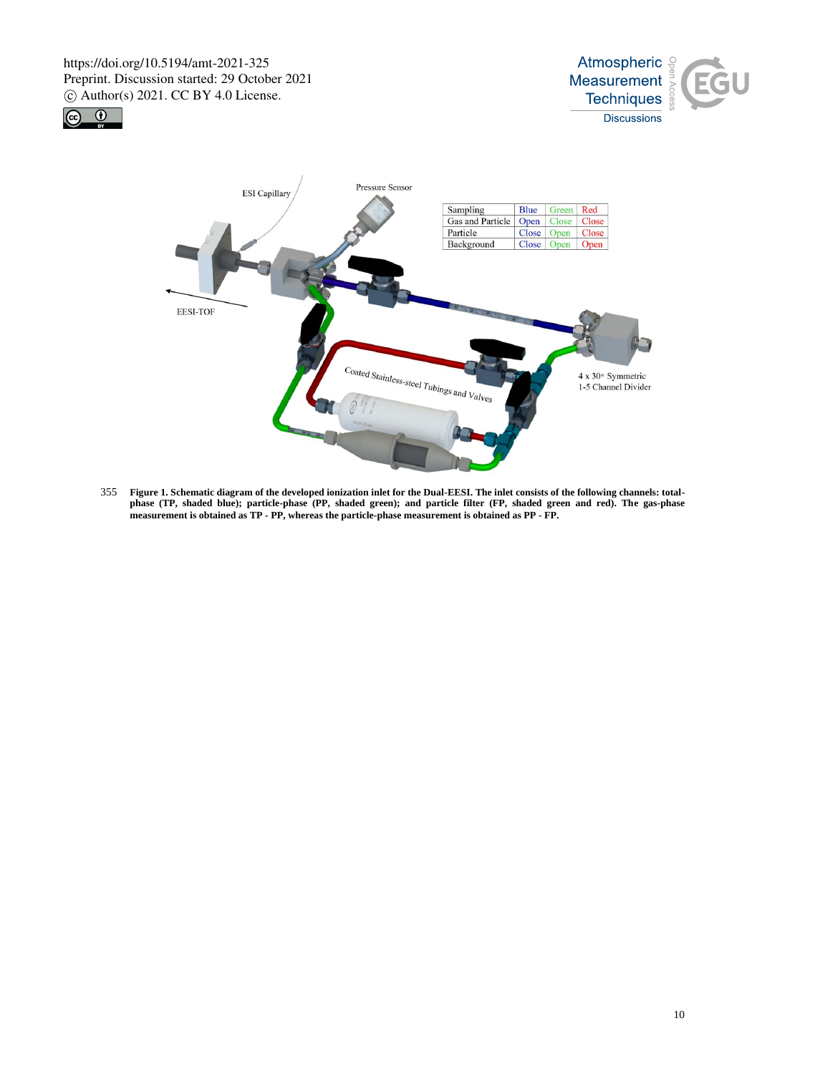





355 **Figure 1. Schematic diagram of the developed ionization inlet for the Dual-EESI. The inlet consists of the following channels: totalphase (TP, shaded blue); particle-phase (PP, shaded green); and particle filter (FP, shaded green and red). The gas-phase measurement is obtained as TP - PP, whereas the particle-phase measurement is obtained as PP - FP.**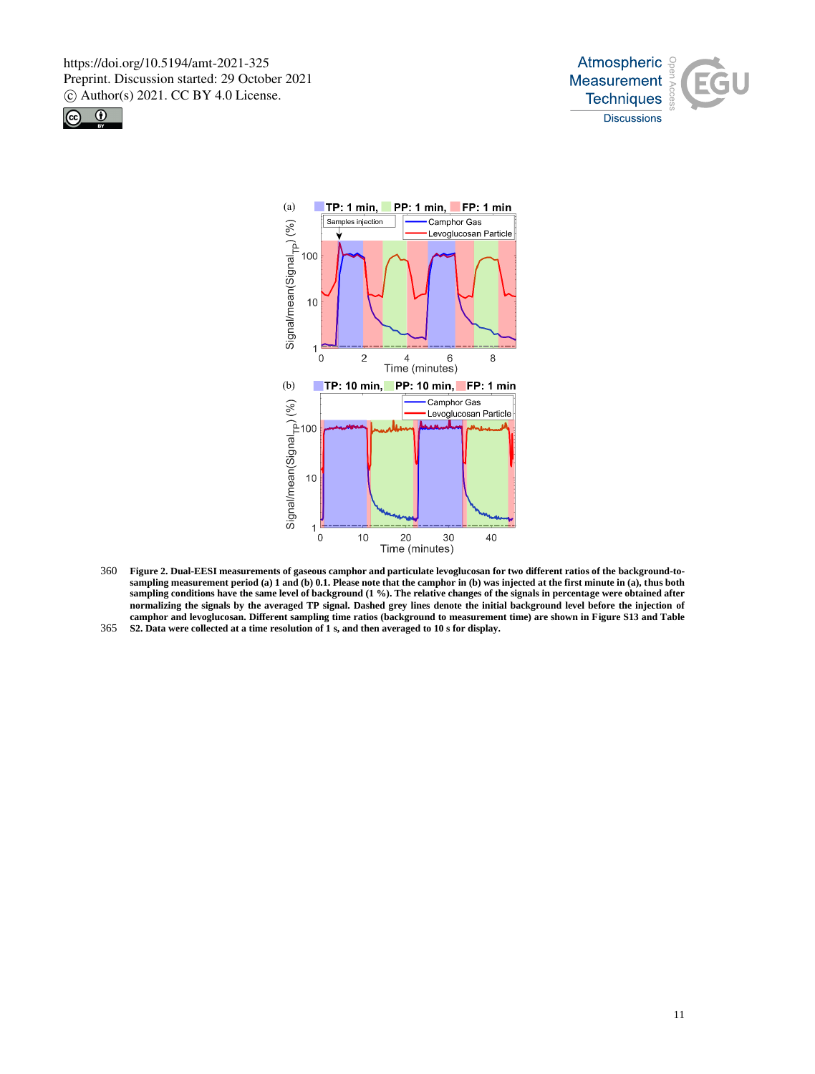





- 360 **Figure 2. Dual-EESI measurements of gaseous camphor and particulate levoglucosan for two different ratios of the background-tosampling measurement period (a) 1 and (b) 0.1. Please note that the camphor in (b) was injected at the first minute in (a), thus both sampling conditions have the same level of background (1 %). The relative changes of the signals in percentage were obtained after normalizing the signals by the averaged TP signal. Dashed grey lines denote the initial background level before the injection of camphor and levoglucosan. Different sampling time ratios (background to measurement time) are shown in Figure S13 and Table**
- 365 **S2. Data were collected at a time resolution of 1 s, and then averaged to 10 s for display.**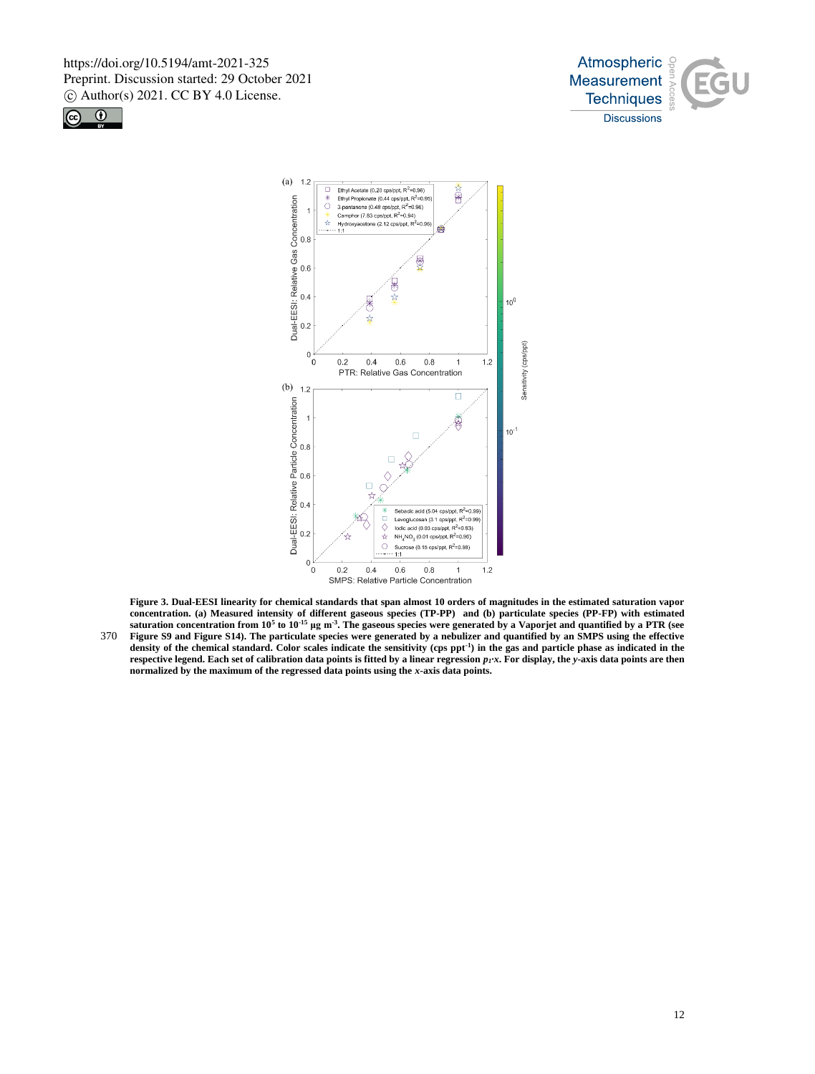

12





**Figure 3. Dual-EESI linearity for chemical standards that span almost 10 orders of magnitudes in the estimated saturation vapor concentration. (a) Measured intensity of different gaseous species (TP-PP) and (b) particulate species (PP-FP) with estimated saturation concentration from 10<sup>5</sup> to 10-15 μg m-3 . The gaseous species were generated by a Vaporjet and quantified by a PTR (see**  370 **Figure S9 and Figure S14). The particulate species were generated by a nebulizer and quantified by an SMPS using the effective density of the chemical standard. Color scales indicate the sensitivity (cps ppt-1 ) in the gas and particle phase as indicated in the respective legend. Each set of calibration data points is fitted by a linear regression** *p1·x***. For display, the** *y***-axis data points are then normalized by the maximum of the regressed data points using the** *x***-axis data points.**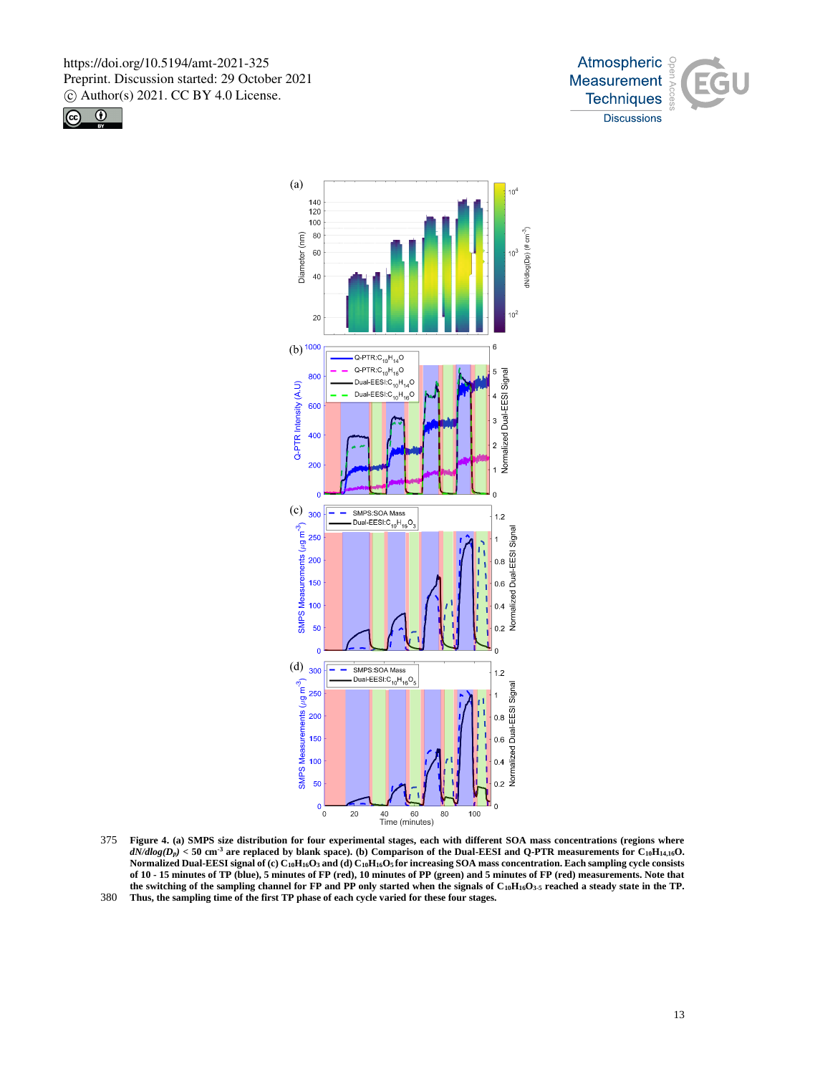





375 **Figure 4. (a) SMPS size distribution for four experimental stages, each with different SOA mass concentrations (regions where**   $dN/dlog(D_p)$  < 50 cm<sup>-3</sup> are replaced by blank space). (b) Comparison of the Dual-EESI and Q-PTR measurements for C<sub>10</sub>H<sub>14,16</sub>O. **Normalized Dual-EESI signal of (c) C10H16O<sup>3</sup> and (d) C10H16O5 for increasing SOA mass concentration. Each sampling cycle consists of 10 - 15 minutes of TP (blue), 5 minutes of FP (red), 10 minutes of PP (green) and 5 minutes of FP (red) measurements. Note that the switching of the sampling channel for FP and PP only started when the signals of C10H16O3-5 reached a steady state in the TP.**  380 **Thus, the sampling time of the first TP phase of each cycle varied for these four stages.**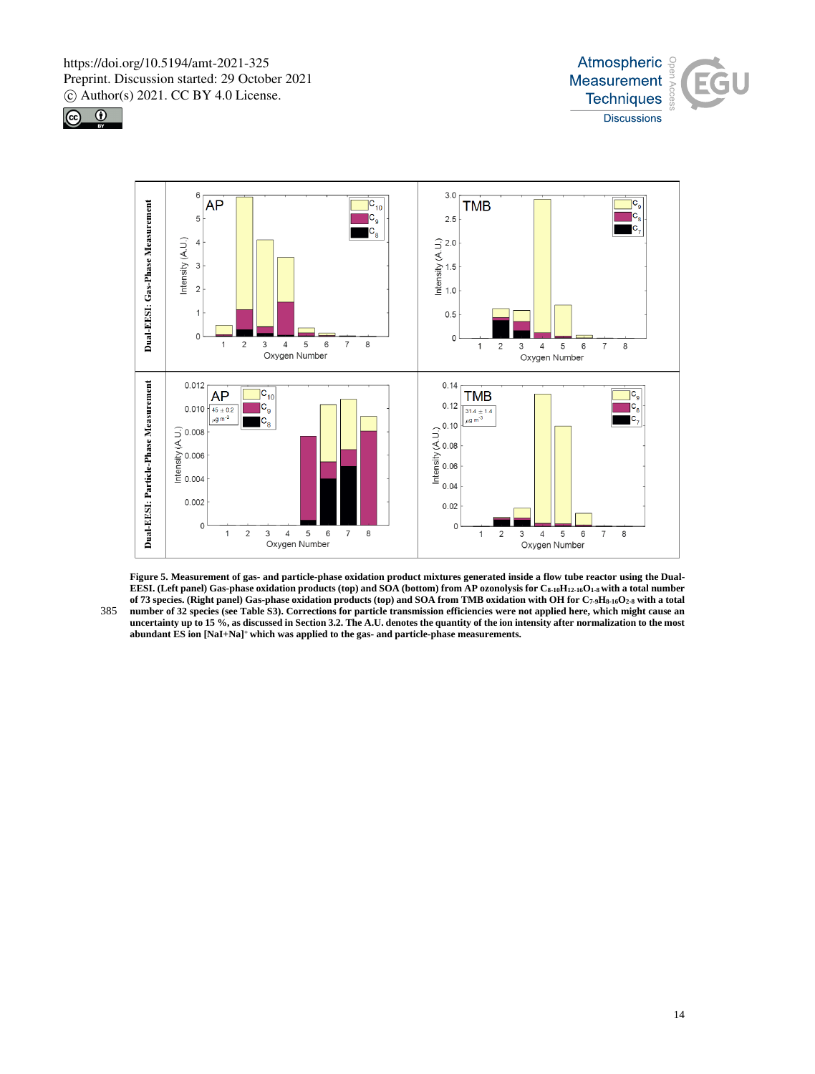





**Figure 5. Measurement of gas- and particle-phase oxidation product mixtures generated inside a flow tube reactor using the Dual-EESI. (Left panel) Gas-phase oxidation products (top) and SOA (bottom) from AP ozonolysis for C8-10H12-16O1-8 with a total number of 73 species. (Right panel) Gas-phase oxidation products (top) and SOA from TMB oxidation with OH for C7-9H8-16O2-8 with a total**  385 **number of 32 species (see Table S3). Corrections for particle transmission efficiencies were not applied here, which might cause an uncertainty up to 15 %, as discussed in Section 3.2. The A.U. denotes the quantity of the ion intensity after normalization to the most abundant ES ion [NaI+Na]<sup>+</sup> which was applied to the gas- and particle-phase measurements.**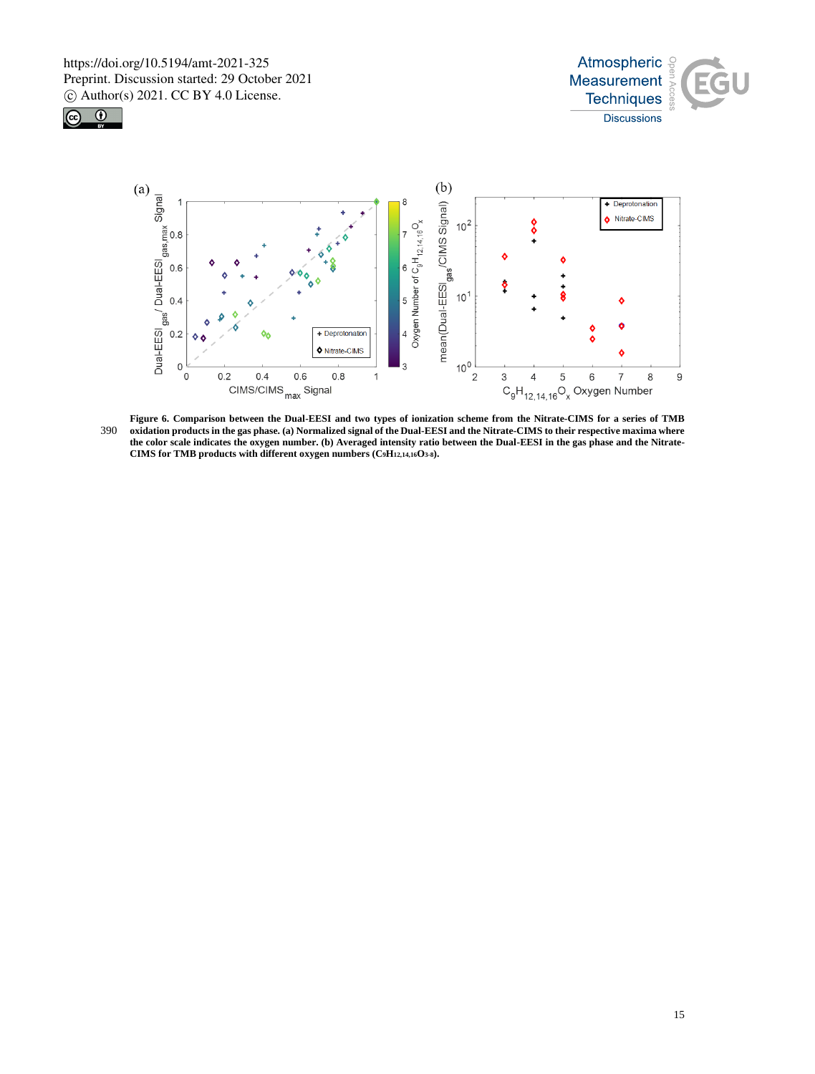





Figure 6. Comparison between the Dual-EESI and two types of ionization scheme from the Nitrate-CIMS for a series of TMB<br>390 oxidation products in the gas phase. (a) Normalized signal of the Dual-EESI and the Nitrate-CIMS t **the color scale indicates the oxygen number. (b) Averaged intensity ratio between the Dual-EESI in the gas phase and the Nitrate-CIMS for TMB products with different oxygen numbers (C9H12,14,16O3-8).**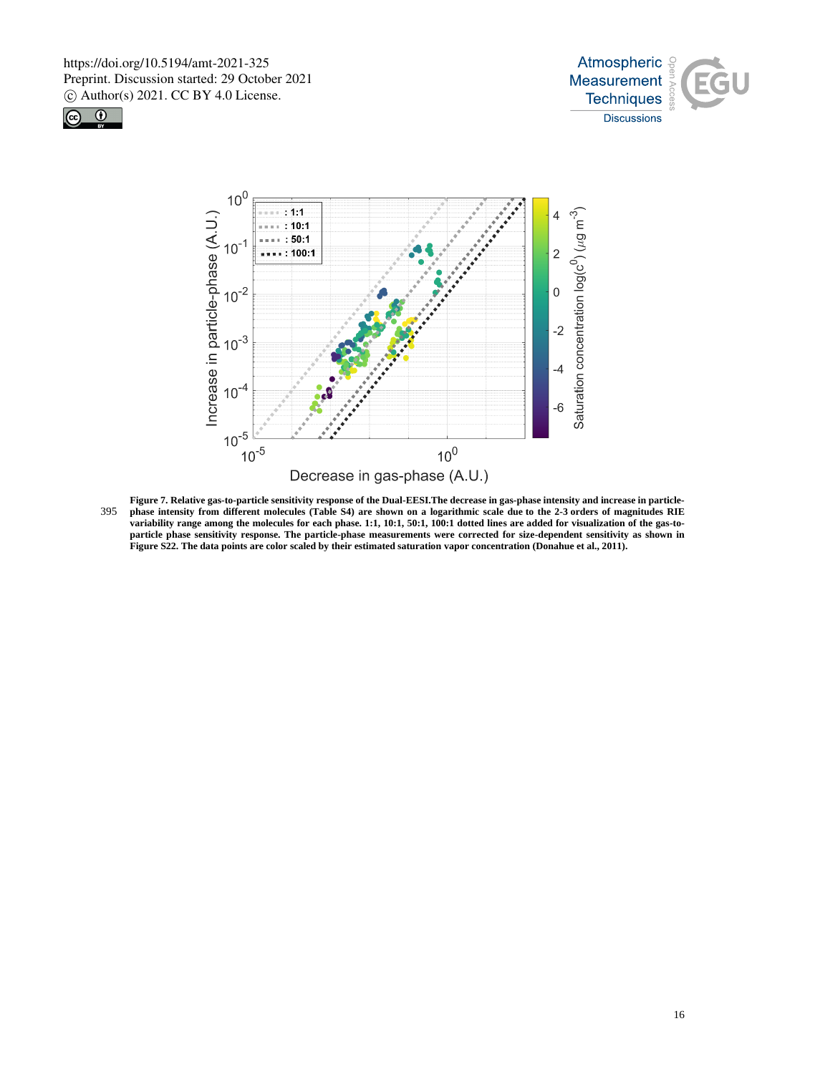





**Figure 7. Relative gas-to-particle sensitivity response of the Dual-EESI.The decrease in gas-phase intensity and increase in particle-**395 **phase intensity from different molecules (Table S4) are shown on a logarithmic scale due to the 2-3 orders of magnitudes RIE variability range among the molecules for each phase. 1:1, 10:1, 50:1, 100:1 dotted lines are added for visualization of the gas-toparticle phase sensitivity response. The particle-phase measurements were corrected for size-dependent sensitivity as shown in Figure S22. The data points are color scaled by their estimated saturation vapor concentration (Donahue et al., 2011).**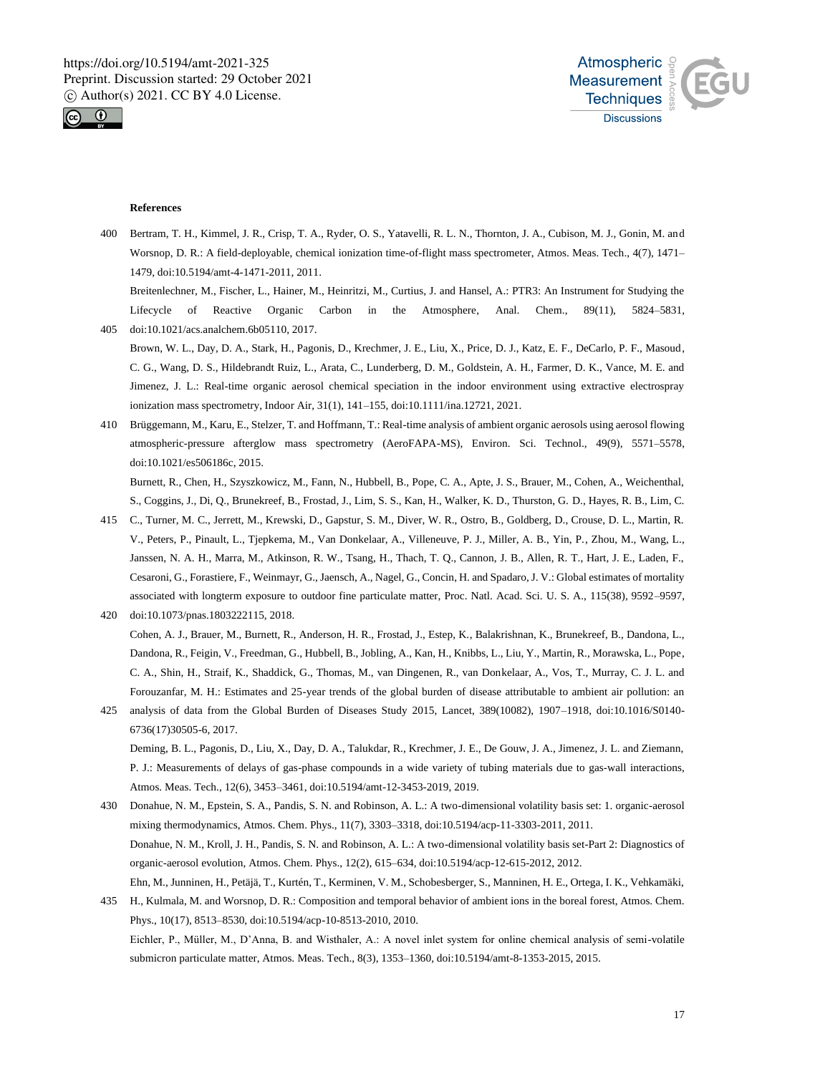



## **References**

400 Bertram, T. H., Kimmel, J. R., Crisp, T. A., Ryder, O. S., Yatavelli, R. L. N., Thornton, J. A., Cubison, M. J., Gonin, M. and Worsnop, D. R.: A field-deployable, chemical ionization time-of-flight mass spectrometer, Atmos. Meas. Tech., 4(7), 1471– 1479, doi:10.5194/amt-4-1471-2011, 2011.

Breitenlechner, M., Fischer, L., Hainer, M., Heinritzi, M., Curtius, J. and Hansel, A.: PTR3: An Instrument for Studying the Lifecycle of Reactive Organic Carbon in the Atmosphere, Anal. Chem., 89(11), 5824–5831, 405 doi:10.1021/acs.analchem.6b05110, 2017.

- Brown, W. L., Day, D. A., Stark, H., Pagonis, D., Krechmer, J. E., Liu, X., Price, D. J., Katz, E. F., DeCarlo, P. F., Masoud, C. G., Wang, D. S., Hildebrandt Ruiz, L., Arata, C., Lunderberg, D. M., Goldstein, A. H., Farmer, D. K., Vance, M. E. and Jimenez, J. L.: Real-time organic aerosol chemical speciation in the indoor environment using extractive electrospray ionization mass spectrometry, Indoor Air, 31(1), 141–155, doi:10.1111/ina.12721, 2021.
- 410 Brüggemann, M., Karu, E., Stelzer, T. and Hoffmann, T.: Real-time analysis of ambient organic aerosols using aerosol flowing atmospheric-pressure afterglow mass spectrometry (AeroFAPA-MS), Environ. Sci. Technol., 49(9), 5571–5578, doi:10.1021/es506186c, 2015.

Burnett, R., Chen, H., Szyszkowicz, M., Fann, N., Hubbell, B., Pope, C. A., Apte, J. S., Brauer, M., Cohen, A., Weichenthal, S., Coggins, J., Di, Q., Brunekreef, B., Frostad, J., Lim, S. S., Kan, H., Walker, K. D., Thurston, G. D., Hayes, R. B., Lim, C.

- 415 C., Turner, M. C., Jerrett, M., Krewski, D., Gapstur, S. M., Diver, W. R., Ostro, B., Goldberg, D., Crouse, D. L., Martin, R. V., Peters, P., Pinault, L., Tjepkema, M., Van Donkelaar, A., Villeneuve, P. J., Miller, A. B., Yin, P., Zhou, M., Wang, L., Janssen, N. A. H., Marra, M., Atkinson, R. W., Tsang, H., Thach, T. Q., Cannon, J. B., Allen, R. T., Hart, J. E., Laden, F., Cesaroni, G., Forastiere, F., Weinmayr, G., Jaensch, A., Nagel, G., Concin, H. and Spadaro, J. V.: Global estimates of mortality associated with longterm exposure to outdoor fine particulate matter, Proc. Natl. Acad. Sci. U. S. A., 115(38), 9592–9597, 420 doi:10.1073/pnas.1803222115, 2018.
- Cohen, A. J., Brauer, M., Burnett, R., Anderson, H. R., Frostad, J., Estep, K., Balakrishnan, K., Brunekreef, B., Dandona, L., Dandona, R., Feigin, V., Freedman, G., Hubbell, B., Jobling, A., Kan, H., Knibbs, L., Liu, Y., Martin, R., Morawska, L., Pope, C. A., Shin, H., Straif, K., Shaddick, G., Thomas, M., van Dingenen, R., van Donkelaar, A., Vos, T., Murray, C. J. L. and Forouzanfar, M. H.: Estimates and 25-year trends of the global burden of disease attributable to ambient air pollution: an
- 425 analysis of data from the Global Burden of Diseases Study 2015, Lancet, 389(10082), 1907–1918, doi:10.1016/S0140- 6736(17)30505-6, 2017. Deming, B. L., Pagonis, D., Liu, X., Day, D. A., Talukdar, R., Krechmer, J. E., De Gouw, J. A., Jimenez, J. L. and Ziemann, P. J.: Measurements of delays of gas-phase compounds in a wide variety of tubing materials due to gas-wall interactions, Atmos. Meas. Tech., 12(6), 3453–3461, doi:10.5194/amt-12-3453-2019, 2019.
- 430 Donahue, N. M., Epstein, S. A., Pandis, S. N. and Robinson, A. L.: A two-dimensional volatility basis set: 1. organic-aerosol mixing thermodynamics, Atmos. Chem. Phys., 11(7), 3303–3318, doi:10.5194/acp-11-3303-2011, 2011. Donahue, N. M., Kroll, J. H., Pandis, S. N. and Robinson, A. L.: A two-dimensional volatility basis set-Part 2: Diagnostics of organic-aerosol evolution, Atmos. Chem. Phys., 12(2), 615–634, doi:10.5194/acp-12-615-2012, 2012. Ehn, M., Junninen, H., Petäjä, T., Kurtén, T., Kerminen, V. M., Schobesberger, S., Manninen, H. E., Ortega, I. K., Vehkamäki,
- 435 H., Kulmala, M. and Worsnop, D. R.: Composition and temporal behavior of ambient ions in the boreal forest, Atmos. Chem. Phys., 10(17), 8513–8530, doi:10.5194/acp-10-8513-2010, 2010. Eichler, P., Müller, M., D'Anna, B. and Wisthaler, A.: A novel inlet system for online chemical analysis of semi-volatile submicron particulate matter, Atmos. Meas. Tech., 8(3), 1353–1360, doi:10.5194/amt-8-1353-2015, 2015.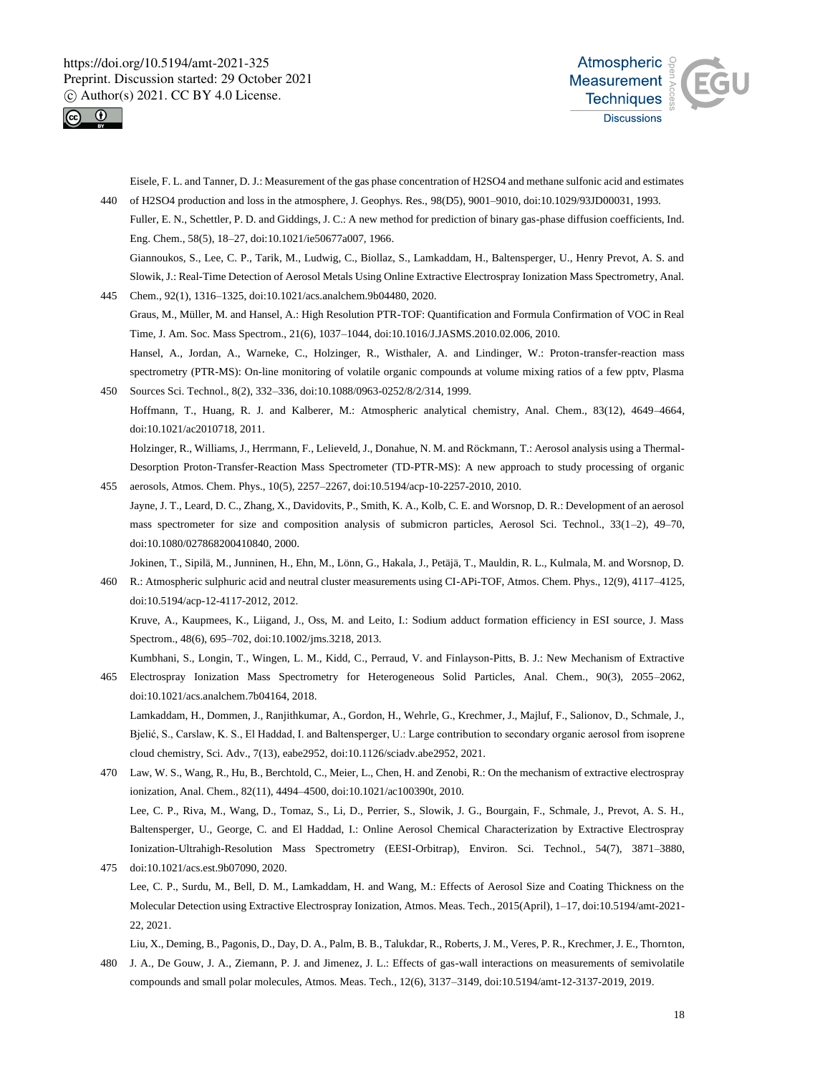



Eisele, F. L. and Tanner, D. J.: Measurement of the gas phase concentration of H2SO4 and methane sulfonic acid and estimates 440 of H2SO4 production and loss in the atmosphere, J. Geophys. Res., 98(D5), 9001–9010, doi:10.1029/93JD00031, 1993.

- Fuller, E. N., Schettler, P. D. and Giddings, J. C.: A new method for prediction of binary gas-phase diffusion coefficients, Ind. Eng. Chem., 58(5), 18–27, doi:10.1021/ie50677a007, 1966. Giannoukos, S., Lee, C. P., Tarik, M., Ludwig, C., Biollaz, S., Lamkaddam, H., Baltensperger, U., Henry Prevot, A. S. and
- Slowik, J.: Real-Time Detection of Aerosol Metals Using Online Extractive Electrospray Ionization Mass Spectrometry, Anal. 445 Chem., 92(1), 1316–1325, doi:10.1021/acs.analchem.9b04480, 2020.
	- Graus, M., Müller, M. and Hansel, A.: High Resolution PTR-TOF: Quantification and Formula Confirmation of VOC in Real Time, J. Am. Soc. Mass Spectrom., 21(6), 1037–1044, doi:10.1016/J.JASMS.2010.02.006, 2010.
- Hansel, A., Jordan, A., Warneke, C., Holzinger, R., Wisthaler, A. and Lindinger, W.: Proton-transfer-reaction mass spectrometry (PTR-MS): On-line monitoring of volatile organic compounds at volume mixing ratios of a few pptv, Plasma 450 Sources Sci. Technol., 8(2), 332–336, doi:10.1088/0963-0252/8/2/314, 1999.
	- Hoffmann, T., Huang, R. J. and Kalberer, M.: Atmospheric analytical chemistry, Anal. Chem., 83(12), 4649–4664, doi:10.1021/ac2010718, 2011.

Holzinger, R., Williams, J., Herrmann, F., Lelieveld, J., Donahue, N. M. and Röckmann, T.: Aerosol analysis using a Thermal-Desorption Proton-Transfer-Reaction Mass Spectrometer (TD-PTR-MS): A new approach to study processing of organic 455 aerosols, Atmos. Chem. Phys., 10(5), 2257–2267, doi:10.5194/acp-10-2257-2010, 2010.

Jayne, J. T., Leard, D. C., Zhang, X., Davidovits, P., Smith, K. A., Kolb, C. E. and Worsnop, D. R.: Development of an aerosol mass spectrometer for size and composition analysis of submicron particles, Aerosol Sci. Technol., 33(1–2), 49–70, doi:10.1080/027868200410840, 2000.

Jokinen, T., Sipilä, M., Junninen, H., Ehn, M., Lönn, G., Hakala, J., Petäjä, T., Mauldin, R. L., Kulmala, M. and Worsnop, D.

- 460 R.: Atmospheric sulphuric acid and neutral cluster measurements using CI-APi-TOF, Atmos. Chem. Phys., 12(9), 4117–4125, doi:10.5194/acp-12-4117-2012, 2012. Kruve, A., Kaupmees, K., Liigand, J., Oss, M. and Leito, I.: Sodium adduct formation efficiency in ESI source, J. Mass Spectrom., 48(6), 695–702, doi:10.1002/jms.3218, 2013. Kumbhani, S., Longin, T., Wingen, L. M., Kidd, C., Perraud, V. and Finlayson-Pitts, B. J.: New Mechanism of Extractive
- 465 Electrospray Ionization Mass Spectrometry for Heterogeneous Solid Particles, Anal. Chem., 90(3), 2055–2062, doi:10.1021/acs.analchem.7b04164, 2018. Lamkaddam, H., Dommen, J., Ranjithkumar, A., Gordon, H., Wehrle, G., Krechmer, J., Majluf, F., Salionov, D., Schmale, J.,

Bjelić, S., Carslaw, K. S., El Haddad, I. and Baltensperger, U.: Large contribution to secondary organic aerosol from isoprene cloud chemistry, Sci. Adv., 7(13), eabe2952, doi:10.1126/sciadv.abe2952, 2021.

- 470 Law, W. S., Wang, R., Hu, B., Berchtold, C., Meier, L., Chen, H. and Zenobi, R.: On the mechanism of extractive electrospray ionization, Anal. Chem., 82(11), 4494–4500, doi:10.1021/ac100390t, 2010. Lee, C. P., Riva, M., Wang, D., Tomaz, S., Li, D., Perrier, S., Slowik, J. G., Bourgain, F., Schmale, J., Prevot, A. S. H., Baltensperger, U., George, C. and El Haddad, I.: Online Aerosol Chemical Characterization by Extractive Electrospray Ionization-Ultrahigh-Resolution Mass Spectrometry (EESI-Orbitrap), Environ. Sci. Technol., 54(7), 3871–3880, 475 doi:10.1021/acs.est.9b07090, 2020.
- Lee, C. P., Surdu, M., Bell, D. M., Lamkaddam, H. and Wang, M.: Effects of Aerosol Size and Coating Thickness on the Molecular Detection using Extractive Electrospray Ionization, Atmos. Meas. Tech., 2015(April), 1–17, doi:10.5194/amt-2021- 22, 2021.
- Liu, X., Deming, B., Pagonis, D., Day, D. A., Palm, B. B., Talukdar, R., Roberts, J. M., Veres, P. R., Krechmer, J. E., Thornton, 480 J. A., De Gouw, J. A., Ziemann, P. J. and Jimenez, J. L.: Effects of gas-wall interactions on measurements of semivolatile compounds and small polar molecules, Atmos. Meas. Tech., 12(6), 3137–3149, doi:10.5194/amt-12-3137-2019, 2019.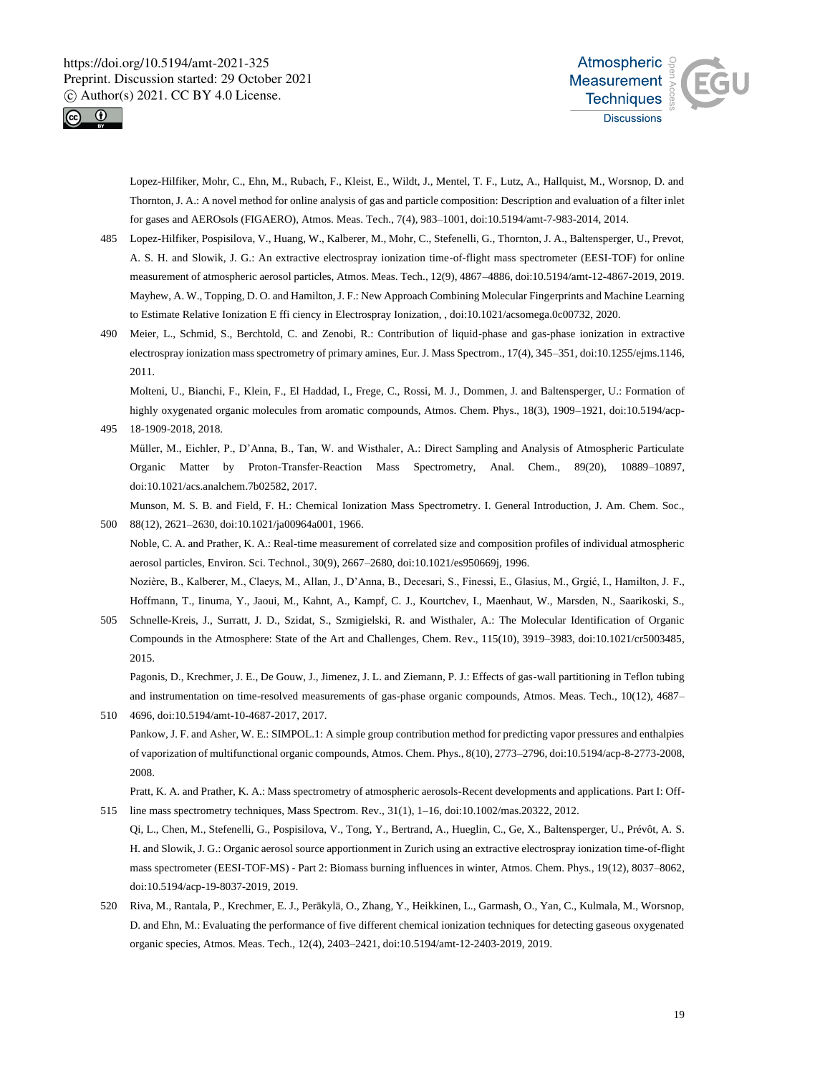



Lopez-Hilfiker, Mohr, C., Ehn, M., Rubach, F., Kleist, E., Wildt, J., Mentel, T. F., Lutz, A., Hallquist, M., Worsnop, D. and Thornton, J. A.: A novel method for online analysis of gas and particle composition: Description and evaluation of a filter inlet for gases and AEROsols (FIGAERO), Atmos. Meas. Tech., 7(4), 983–1001, doi:10.5194/amt-7-983-2014, 2014.

- 485 Lopez-Hilfiker, Pospisilova, V., Huang, W., Kalberer, M., Mohr, C., Stefenelli, G., Thornton, J. A., Baltensperger, U., Prevot, A. S. H. and Slowik, J. G.: An extractive electrospray ionization time-of-flight mass spectrometer (EESI-TOF) for online measurement of atmospheric aerosol particles, Atmos. Meas. Tech., 12(9), 4867–4886, doi:10.5194/amt-12-4867-2019, 2019. Mayhew, A. W., Topping, D. O. and Hamilton, J. F.: New Approach Combining Molecular Fingerprints and Machine Learning to Estimate Relative Ionization E ffi ciency in Electrospray Ionization, , doi:10.1021/acsomega.0c00732, 2020.
- 490 Meier, L., Schmid, S., Berchtold, C. and Zenobi, R.: Contribution of liquid-phase and gas-phase ionization in extractive electrospray ionization mass spectrometry of primary amines, Eur. J. Mass Spectrom., 17(4), 345–351, doi:10.1255/ejms.1146, 2011.

Molteni, U., Bianchi, F., Klein, F., El Haddad, I., Frege, C., Rossi, M. J., Dommen, J. and Baltensperger, U.: Formation of highly oxygenated organic molecules from aromatic compounds, Atmos. Chem. Phys., 18(3), 1909–1921, doi:10.5194/acp-495 18-1909-2018, 2018.

Müller, M., Eichler, P., D'Anna, B., Tan, W. and Wisthaler, A.: Direct Sampling and Analysis of Atmospheric Particulate Organic Matter by Proton-Transfer-Reaction Mass Spectrometry, Anal. Chem., 89(20), 10889–10897, doi:10.1021/acs.analchem.7b02582, 2017.

Munson, M. S. B. and Field, F. H.: Chemical Ionization Mass Spectrometry. I. General Introduction, J. Am. Chem. Soc., 500 88(12), 2621–2630, doi:10.1021/ja00964a001, 1966.

Noble, C. A. and Prather, K. A.: Real-time measurement of correlated size and composition profiles of individual atmospheric aerosol particles, Environ. Sci. Technol., 30(9), 2667–2680, doi:10.1021/es950669j, 1996.

Nozière, B., Kalberer, M., Claeys, M., Allan, J., D'Anna, B., Decesari, S., Finessi, E., Glasius, M., Grgić, I., Hamilton, J. F., Hoffmann, T., Iinuma, Y., Jaoui, M., Kahnt, A., Kampf, C. J., Kourtchev, I., Maenhaut, W., Marsden, N., Saarikoski, S.,

505 Schnelle-Kreis, J., Surratt, J. D., Szidat, S., Szmigielski, R. and Wisthaler, A.: The Molecular Identification of Organic Compounds in the Atmosphere: State of the Art and Challenges, Chem. Rev., 115(10), 3919–3983, doi:10.1021/cr5003485, 2015.

Pagonis, D., Krechmer, J. E., De Gouw, J., Jimenez, J. L. and Ziemann, P. J.: Effects of gas-wall partitioning in Teflon tubing and instrumentation on time-resolved measurements of gas-phase organic compounds, Atmos. Meas. Tech., 10(12), 4687– 510 4696, doi:10.5194/amt-10-4687-2017, 2017.

Pankow, J. F. and Asher, W. E.: SIMPOL.1: A simple group contribution method for predicting vapor pressures and enthalpies of vaporization of multifunctional organic compounds, Atmos. Chem. Phys., 8(10), 2773–2796, doi:10.5194/acp-8-2773-2008, 2008.

Pratt, K. A. and Prather, K. A.: Mass spectrometry of atmospheric aerosols-Recent developments and applications. Part I: Off-515 line mass spectrometry techniques, Mass Spectrom. Rev., 31(1), 1–16, doi:10.1002/mas.20322, 2012.

Qi, L., Chen, M., Stefenelli, G., Pospisilova, V., Tong, Y., Bertrand, A., Hueglin, C., Ge, X., Baltensperger, U., Prévôt, A. S. H. and Slowik, J. G.: Organic aerosol source apportionment in Zurich using an extractive electrospray ionization time-of-flight mass spectrometer (EESI-TOF-MS) - Part 2: Biomass burning influences in winter, Atmos. Chem. Phys., 19(12), 8037–8062, doi:10.5194/acp-19-8037-2019, 2019.

520 Riva, M., Rantala, P., Krechmer, E. J., Peräkylä, O., Zhang, Y., Heikkinen, L., Garmash, O., Yan, C., Kulmala, M., Worsnop, D. and Ehn, M.: Evaluating the performance of five different chemical ionization techniques for detecting gaseous oxygenated organic species, Atmos. Meas. Tech., 12(4), 2403–2421, doi:10.5194/amt-12-2403-2019, 2019.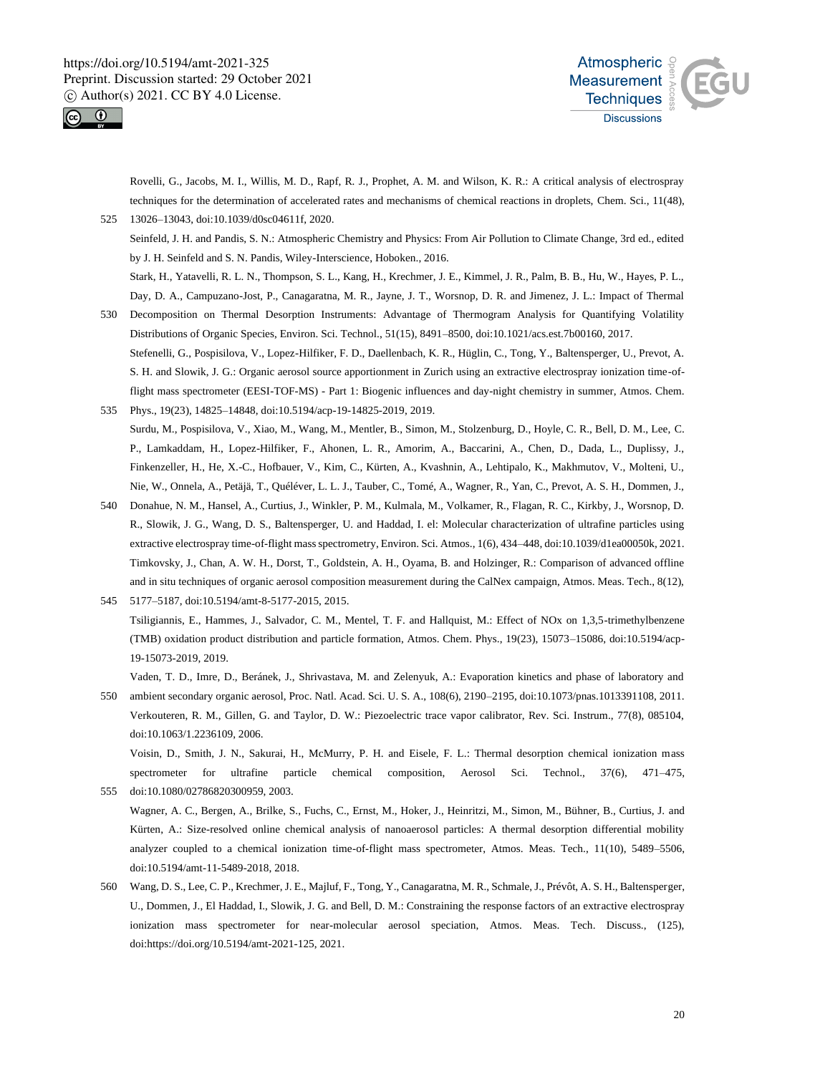



Rovelli, G., Jacobs, M. I., Willis, M. D., Rapf, R. J., Prophet, A. M. and Wilson, K. R.: A critical analysis of electrospray techniques for the determination of accelerated rates and mechanisms of chemical reactions in droplets, Chem. Sci., 11(48), 525 13026–13043, doi:10.1039/d0sc04611f, 2020.

Seinfeld, J. H. and Pandis, S. N.: Atmospheric Chemistry and Physics: From Air Pollution to Climate Change, 3rd ed., edited by J. H. Seinfeld and S. N. Pandis, Wiley-Interscience, Hoboken., 2016.

Stark, H., Yatavelli, R. L. N., Thompson, S. L., Kang, H., Krechmer, J. E., Kimmel, J. R., Palm, B. B., Hu, W., Hayes, P. L., Day, D. A., Campuzano-Jost, P., Canagaratna, M. R., Jayne, J. T., Worsnop, D. R. and Jimenez, J. L.: Impact of Thermal

- 530 Decomposition on Thermal Desorption Instruments: Advantage of Thermogram Analysis for Quantifying Volatility Distributions of Organic Species, Environ. Sci. Technol., 51(15), 8491–8500, doi:10.1021/acs.est.7b00160, 2017. Stefenelli, G., Pospisilova, V., Lopez-Hilfiker, F. D., Daellenbach, K. R., Hüglin, C., Tong, Y., Baltensperger, U., Prevot, A. S. H. and Slowik, J. G.: Organic aerosol source apportionment in Zurich using an extractive electrospray ionization time-offlight mass spectrometer (EESI-TOF-MS) - Part 1: Biogenic influences and day-night chemistry in summer, Atmos. Chem.
- 535 Phys., 19(23), 14825–14848, doi:10.5194/acp-19-14825-2019, 2019. Surdu, M., Pospisilova, V., Xiao, M., Wang, M., Mentler, B., Simon, M., Stolzenburg, D., Hoyle, C. R., Bell, D. M., Lee, C. P., Lamkaddam, H., Lopez-Hilfiker, F., Ahonen, L. R., Amorim, A., Baccarini, A., Chen, D., Dada, L., Duplissy, J., Finkenzeller, H., He, X.-C., Hofbauer, V., Kim, C., Kürten, A., Kvashnin, A., Lehtipalo, K., Makhmutov, V., Molteni, U., Nie, W., Onnela, A., Petäjä, T., Quéléver, L. L. J., Tauber, C., Tomé, A., Wagner, R., Yan, C., Prevot, A. S. H., Dommen, J.,
- 540 Donahue, N. M., Hansel, A., Curtius, J., Winkler, P. M., Kulmala, M., Volkamer, R., Flagan, R. C., Kirkby, J., Worsnop, D. R., Slowik, J. G., Wang, D. S., Baltensperger, U. and Haddad, I. el: Molecular characterization of ultrafine particles using extractive electrospray time-of-flight mass spectrometry, Environ. Sci. Atmos., 1(6), 434–448, doi:10.1039/d1ea00050k, 2021. Timkovsky, J., Chan, A. W. H., Dorst, T., Goldstein, A. H., Oyama, B. and Holzinger, R.: Comparison of advanced offline and in situ techniques of organic aerosol composition measurement during the CalNex campaign, Atmos. Meas. Tech., 8(12),
- 545 5177–5187, doi:10.5194/amt-8-5177-2015, 2015. Tsiligiannis, E., Hammes, J., Salvador, C. M., Mentel, T. F. and Hallquist, M.: Effect of NOx on 1,3,5-trimethylbenzene (TMB) oxidation product distribution and particle formation, Atmos. Chem. Phys., 19(23), 15073–15086, doi:10.5194/acp-19-15073-2019, 2019.

Vaden, T. D., Imre, D., Beránek, J., Shrivastava, M. and Zelenyuk, A.: Evaporation kinetics and phase of laboratory and

550 ambient secondary organic aerosol, Proc. Natl. Acad. Sci. U. S. A., 108(6), 2190–2195, doi:10.1073/pnas.1013391108, 2011. Verkouteren, R. M., Gillen, G. and Taylor, D. W.: Piezoelectric trace vapor calibrator, Rev. Sci. Instrum., 77(8), 085104, doi:10.1063/1.2236109, 2006. Voisin, D., Smith, J. N., Sakurai, H., McMurry, P. H. and Eisele, F. L.: Thermal desorption chemical ionization mass

spectrometer for ultrafine particle chemical composition, Aerosol Sci. Technol., 37(6), 471–475, 555 doi:10.1080/02786820300959, 2003.

Wagner, A. C., Bergen, A., Brilke, S., Fuchs, C., Ernst, M., Hoker, J., Heinritzi, M., Simon, M., Bühner, B., Curtius, J. and Kürten, A.: Size-resolved online chemical analysis of nanoaerosol particles: A thermal desorption differential mobility analyzer coupled to a chemical ionization time-of-flight mass spectrometer, Atmos. Meas. Tech., 11(10), 5489–5506, doi:10.5194/amt-11-5489-2018, 2018.

560 Wang, D. S., Lee, C. P., Krechmer, J. E., Majluf, F., Tong, Y., Canagaratna, M. R., Schmale, J., Prévôt, A. S. H., Baltensperger, U., Dommen, J., El Haddad, I., Slowik, J. G. and Bell, D. M.: Constraining the response factors of an extractive electrospray ionization mass spectrometer for near-molecular aerosol speciation, Atmos. Meas. Tech. Discuss., (125), doi:https://doi.org/10.5194/amt-2021-125, 2021.